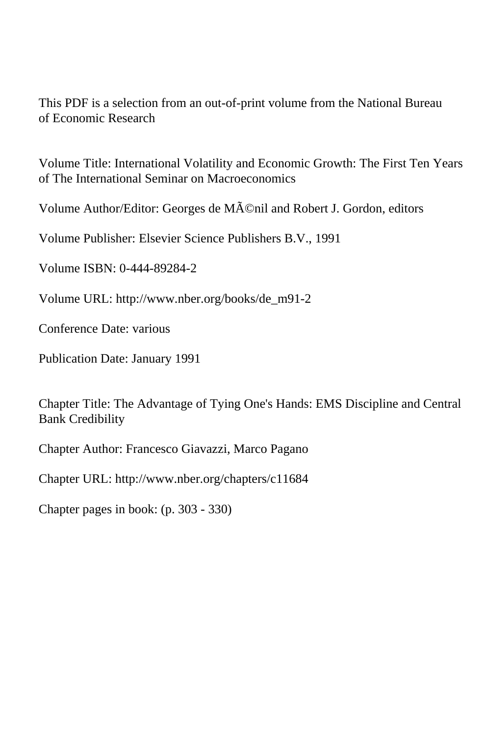This PDF is a selection from an out-of-print volume from the National Bureau of Economic Research

Volume Title: International Volatility and Economic Growth: The First Ten Years of The International Seminar on Macroeconomics

Volume Author/Editor: Georges de Ménil and Robert J. Gordon, editors

Volume Publisher: Elsevier Science Publishers B.V., 1991

Volume ISBN: 0-444-89284-2

Volume URL: http://www.nber.org/books/de\_m91-2

Conference Date: various

Publication Date: January 1991

Chapter Title: The Advantage of Tying One's Hands: EMS Discipline and Central Bank Credibility

Chapter Author: Francesco Giavazzi, Marco Pagano

Chapter URL: http://www.nber.org/chapters/c11684

Chapter pages in book: (p. 303 - 330)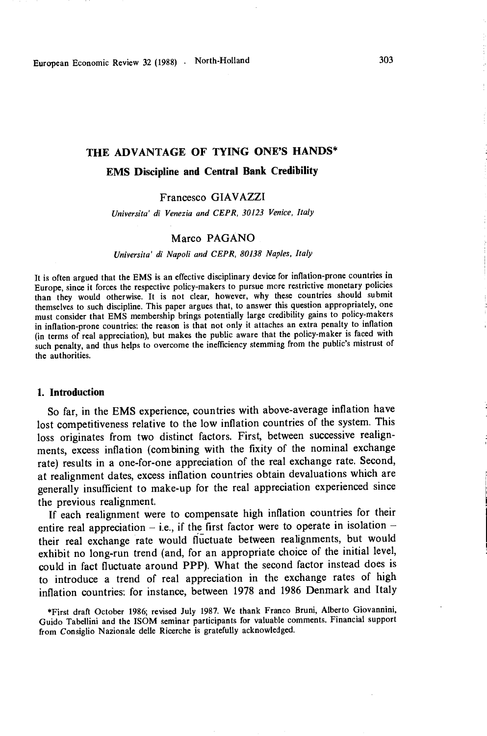## THE ADVANTAGE OF TYING ONE'S HANDS\*

# **EMS Discipline and Central Bank Credibility**<br>Francesco GIAVAZZI<br>Universita' di Venezia and CEPR, 30123 Venice, Italy

Francesco GIAVAZZI<br>Universita' di Venezia and CEPR, 30123 Venice, Italy<br>Marco PAGANO

## Marco PAGANO<br>Universita' di Napoli and CEPR, 80138 Naples, Italy

Universita' di Napoli and CEPR, 80138 Naples, Italy<br>It is often argued that the EMS is an effective disciplinary device for inflation-prone countries in<br>Europe, since it forces the respective policy-makers to pursue more r must consider that EMS membership brings potentially large credibility gains to policy-makers<br>in inflation-prone countries: the reason is that not only it attaches an extra penalty to inflation<br>(in terms of real appreciati (in terms of real appreciation), but makes the public aware that the policy-maker is faced with<br>such penalty, and thus helps to overcome the inefficiency stemming from the public's mistrust of<br>the authorities. such penalty, and thus helps to overcome the inefficiency stemming from the public's mistrust of<br>the authorities.

## 1. Introduction

So far, in the EMS experience, countries with above-average inflation have lost competitiveness relative to the low inflation countries of the system. This loss originates from two distinct factors. First, between successi lost competitiveness relative to the low inflation countries of the system. This<br>loss originates from two distinct factors. First, between successive realign-<br>ments, excess inflation (combining with the fixity of the nomin rate) results in a one-for-one appreciation of the real exchange rate. Second, at realignment dates, excess inflation countries obtain devaluations which are generally insufficient to make-up for the real appreciation expe at realignment dates, excess inflation countries obtain devaluations which are generally insufficient to make-up for the real appreciation experienced since the previous realignment. If each realignment were to compensate

If each realignment were to compensate high inflation countries for their<br>entire real appreciation – i.e., if the first factor were to operate in isolation –<br>their real exchange rate would fluctuate between realignments, their real exchange rate would fluctuate between realignments, but would exhibit no long-run trend (and, for an appropriate choice of the initial level, could in fact fluctuate around PPP). What the second factor instead d exhibit no long-run trend (and, for an appropriate choice of the initial level could in fact fluctuate around PPP). What the second factor instead does is<br>to introduce a trend of real appreciation in the exchange rates of could in fact fluctuate around PPP). What the second factor instead does is<br>to introduce a trend of real appreciation in the exchange rates of high<br>inflation countries: for instance, between 1978 and 1986 Denmark and Italy inflation countries: for instance, between 1978 and 1986 Denmark and Italy

\*First draft October 1986; revised July 1987. We thank Franco Bruni, Alberto Giovannini, Guido Tabellini and the ISOM seminar participants for valuable comments. Financial support from Consiglio Nazionale delle Ricerche is Guido Tabellini and the ISOM seminar participants for valuable comments. Financial support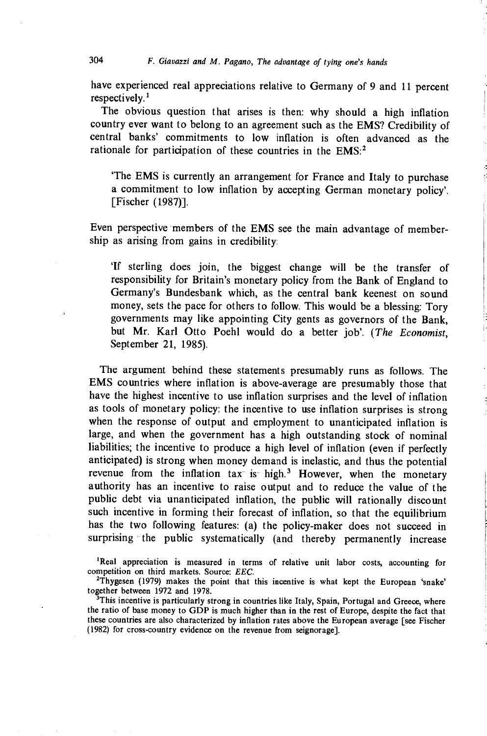F. Giavazzi and M. Pagano, The advantage of tying one's hands<br>have experienced real appreciations relative to Germany of 9 and 11 percent<br>respectively.<sup>1</sup>

The obvious question that arises is then: why should a high inflation country ever want to belong to an agreement such as the EMS? Credibility of central banks' commitments to low inflation is often advanced as the rationale for participation of these countries in the EMS:<sup>2</sup> central banks' commitments to low inflation is often advanced as the rationale for participation of these countries in the  $EMS$ <sup>2</sup>.<br>
The EMS is currently an arrangement for France and Italy to purchase

central banks' commitments to low inflation is often advanced as the rationale for participation of these countries in the EMS:<sup>2</sup><br>
The EMS is currently an arrangement for France and Italy to purchase<br>
a commitment to low The EMS is currently an arrangement for France and Italy to purchase<br>a commitment to low inflation by accepting German monetary policy'<br>[Fischer (1987)]. a commitment to low inflation by accepting German monetary policy'.<br>[Fischer (1987)].<br>Even perspective members of the EMS see the main advantage of member-

ship as arising from gains in credibility:<br>'If sterling does join, the biggest change will be the transfer c If sterling does join, the biggest change will be the transfer of responsibility for Britain's monetary policy from the Bank of England to Germany's Bundesbank which, as the central bank keenest on sound money, sets the pa Germany's Bundesbank which, as the central bank keenest on sound<br>money, sets the pace for others to follow. This would be a blessing: Tory<br>governments may like appointing City gents as governors of the Bank,<br>but Mr. Karl O money, sets the pace for others to follow. This would be a blessing: Tory<br>governments may like appointing City gents as governors of the Bank<br>but Mr. Karl Otto Poehl would do a better job'. (*The Economist*<br>September 21, 1 but Mr. Karl Otto Poehl would do a better job'. (The Economist, September 21, 1985).

 September 21, 1985). The argument behind these statements presumably runs as follows. TheEMS countries where inflation is above-average are presumably those that have the highest incentive to use inflation surprises and the level of inflation as tools of monetary policy: the incentive to use inflation surprise as tools of monetary policy: the incentive to use inflation surprises is strong<br>when the response of output and employment to unanticipated inflation is<br>large, and when the government has a high outstanding stock of nomina when the response of output and employment to unanticipated inflation is large, and when the government has a high outstanding stock of nomina liabilities; the incentive to produce a high level of inflation (even if perfec large, and when the government has a high outstanding stock of nominal liabilities; the incentive to produce a high level of inflation (even if perfectly anticipated) is strong when money demand is inelastic, and thus the revenue from the inflation  $\text{tax}$  is high.<sup>3</sup> However, when the monetary authority has an incentive to raise output and to reduce the value of the public debt via unanticipated inflation, the public will rationally disco revenue from the inflation  $\text{tax}$  is high.<sup>3</sup> However, when the monetary<br>authority has an incentive to raise output and to reduce the value of the<br>public debt via unanticipated inflation, the public will rationally disco has the two following features: (a) the policy-maker does not succeed in surprising the public systematically (and thereby permanently increase  ${}^{1}$ Real appreciation is measured in terms of relative unit labor costs, ac

the ratio of base money to GDP is much higher than in the rest of Europe, despite the fact that these countries are also characterized by inflation rates above the European average [see Fischer] (1982) for cross-country evidence on the revenue from seignorage].

304

<sup>&</sup>lt;sup>2</sup>Thygesen (1979) makes the point that this incentive is what kept the European 'snake'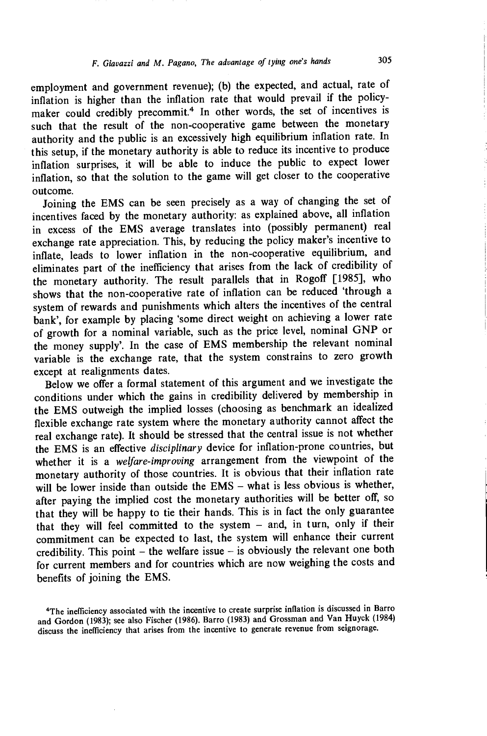F. Giavazzi and M. Pagano, The advantage of tying one's hands<br>employment and government revenue); (b) the expected, and actual, rate of<br>inflation is higher than the inflation rate that would prevail if the policyemployment and government revenue); (b) the expected, and actual, rate of inflation is higher than the inflation rate that would prevail if the policy-<br>maker could credibly precommit.<sup>4</sup> In other words, the set of incentiv inflation is higher than the inflation rate that would prevail if the policy-<br>maker could credibly precommit.<sup>4</sup> In other words, the set of incentives is<br>such that the result of the non-cooperative game between the moneta authority and the public is an excessively high equilibrium inflation rate. In<br>this setup, if the monetary authority is able to reduce its incentive to produce<br>inflation surprises, it will be able to induce the public to e this setup, if the monetary authority is able to reduce its incentive to produce<br>inflation surprises, it will be able to induce the public to expect lower<br>inflation, so that the solution to the game will get closer to the

outcome.<br>Joining the EMS can be seen precisely as a way of changing the set of<br>incentives faced by the monetary authority: as explained above, all inflation<br>in excess of the EMS average translates into (possibly permanent) in excess of the EMS average translates into (possibly permanent) real exchange rate appreciation. This, by reducing the policy maker's incentive to inflate, leads to lower inflation in the non-cooperative equilibrium, and inflate, leads to lower inflation in the non-cooperative equilibrium, and eliminates part of the inefficiency that arises from the lack of credibility of the monetary authority. The result parallels that in Rogoff [1985], ff [1985], who<br>ced 'through a<br>s of the centra<br>ng a lower rate shows that the non-cooperative rate of inflation can be reduced 'through a system of rewards and punishments which alters the incentives of the central bank', for example by placing 'some direct weight on achieving a lower of growth for a nominal variable, such as the price level, nominal GNP or the money supply'. In the case of EMS membership the relevant nominal variable is the exchange rate, that the system constrains to zero growth excep

variable is the exchange rate, that the system constrains to zero growth except at realignments dates.<br>Below we offer a formal statement of this argument and we investigate the conditions under which the gains in credibili conditions under which the gains in credibility delivered by membership in flexible exchange rate system where the monetary authority cannot affect the conditions under which the gains in credibility delivered by membership in<br>the EMS outweigh the implied losses (choosing as benchmark an idealized<br>flexible exchange rate system where the monetary authority cannot affect th the EMS outweigh the implied losses (choosing as benchmark an idealized flexible exchange rate system where the monetary authority cannot affect the real exchange rate). It should be stressed that the central issue is not real exchange rate). It should be stressed that the central issue is not whether<br>the EMS is an effective *disciplinary* device for inflation-prone countries, but<br>whether it is a *welfare-improving* arrangement from the vie monetary authority of those countries. It is obvious that their inflation rate will be lower inside than outside the  $EMS$  – what is less obvious is whether, after paying the implied cost the monetary authorities will be b will be lower inside than outside the EMS – what is less obvious is whether after paying the implied cost the monetary authorities will be better off, so that they will be happy to tie their hands. This is in fact the only that they will be happy to tie their hands. This is in fact the only guarantee<br>that they will feel committed to the system  $-$  and, in turn, only if their<br>commitment can be expected to last, the system will enhance their credibility. This point – the welfare issue – is obviously the relevant one both for current members and for countries which are now weighing the costs and benefits of joining the EMS.<br><sup>4</sup>The inefliciency associated with

benefits of joining the EMS.<br>
"The inefficiency associated with the incentive to create surprise inflation is discussed in Barro<br>
and Gordon (1983); see also Fischer (1986). Barro (1983) and Grossman and Van Huyck (1984) <sup>4</sup>The inefficiency associated with the incentive to create surprise inflation is discussed in Barro and Gordon (1983); see also Fischer (1986). Barro (1983) and Grossman and Van Huyck (1984) discuss the inefficiency that and Gordon (1983); see also Fischer (1986). Barro (1983) and Grossman and Van Huyck (1984)<br>discuss the inefficiency that arises from the incentive to generate revenue from seignorage. om seignorage.<br>...<br>...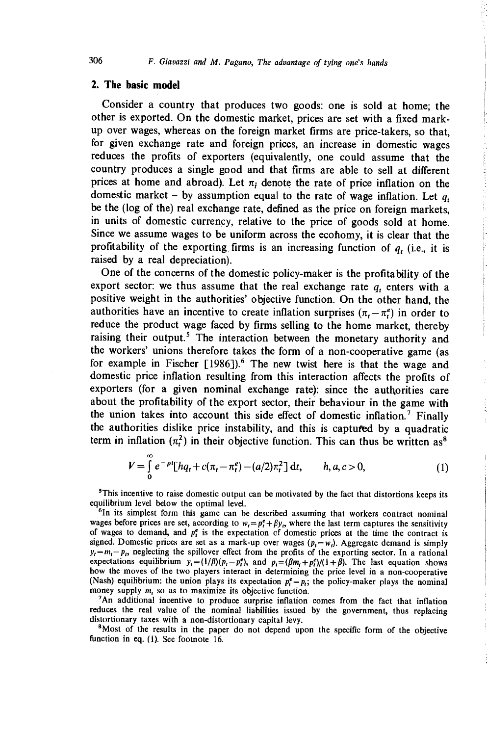$F.$  Giavazzi and M. Pagano, The advantage of tying one's hands<br>2. The basic model<br>Consider a country that produces two goods: one is sold Consider a country that produces two goods: one is sold at home; the<br>her is exported. On the domestic market, prices are set with a fixed mark other is exported. On the domestic market, prices are set with a fixed mark-<br>up over wages, whereas on the foreign market firms are price-takers, so that,<br>for given exchange rate and foreign prices, an increase in domestic reduces the profits of exporters (equivalently, one could assume that the country produces a single good and that firms are able to sell at different prices at home and abroad). Let  $\pi_i$  denote the rate of price inflatio country produces a single good and that firms are able to sell at different prices at home and abroad). Let  $\pi_i$  denote the rate of price inflation on the domestic market – by assumption equal to the rate of wage inflati prices at home and abroad). Let  $\pi_i$  denote the rate of price inflation on the<br>domestic market – by assumption equal to the rate of wage inflation. Let  $q_i$ <br>be the (log of the) real exchange rate, defined as the price on Since we assume wages to be uniform across the ecohomy, it is clear that the profitability of the exporting firms is an increasing function of  $q_t$  (i.e., it is raised by a real depreciation).

One of the concerns of the domestic policy-maker is the profitability of the export sector: we thus assume that the real exchange rate  $q_t$  enters with a positive weight in the authorities' objective function. On the other hand, the export sector: we thus assume that the real exchange rate  $q_t$  enters with a positive weight in the authorities' objective function. On the other hand, the authorities have an incentive to create inflation surprises  $(\pi_t$ positive weight in the authorities' objective function. On the other hand, the authorities have an incentive to create inflation surprises  $(\pi_t - \pi_t^e)$  in order to reduce the product wage faced by firms selling to the hom authorities have an incentive to create inflation surprises  $(\pi_t - \pi_t^e)$  in order to reduce the product wage faced by firms selling to the home market, thereby raising their output.<sup>5</sup> The interaction between the monetary reduce the product wage faced by firms selling to the home market, thereby raising their output.<sup>5</sup> The interaction between the monetary authority and the workers' unions therefore takes the form of a non-cooperative game the workers' unions therefore takes the form of a non-cooperative game (as<br>for example in Fischer  $[1986]$ ).<sup>6</sup> The new twist here is that the wage and<br>domestic price inflation resulting from this interaction affects the the workers' unions therefore takes the form of a non-cooperative game (as<br>for example in Fischer [1986]).<sup>6</sup> The new twist here is that the wage and<br>domestic price inflation resulting from this interaction affects the pro domestic price inflation resulting from this interaction affects the profits of exporters (for a given nominal exchange rate): since the authorities care about the profitability of the export sector, their behaviour in the about the profitability of the export sector, their behaviour in the game with<br>the union takes into account this side effect of domestic inflation.<sup>7</sup> Finally<br>the authorities dislike price instability, and this is capture the union takes into account this side effect of domestic inflation.<sup>7</sup> Finally<br>the authorities dislike price instability, and this is captured by a quadratic<br>term in inflation  $(\pi_t^2)$  in their objective function. This c

the authorities dislike price instability, and this is captured by a quadratic term in inflation 
$$
(\pi_t^2)
$$
 in their objective function. This can thus be written as<sup>8</sup>\n
$$
V = \int_0^\infty e^{-\rho t} [hq_t + c(\pi_t - \pi_t^e) - (a/2)\pi_t^2] dt, \qquad h, a, c > 0,
$$
\n(1)\n<sup>5</sup>This incentive to raise domestic output can be motivated by the fact that distortions keeps its equilibrium level below the optimal level.

equilibrium level below the optimal level.<br><sup>6</sup>In its simplest form this game can be described assuming that workers contract nominal

wages before prices are set, according to  $w_i = p_i^e + \beta y_i$ , where the last term captures the sensitivity of wages to demand, and  $p_i^e$  is the expectation of domestic prices at the time the contract is wages before prices are set, according to  $w_t = p_t^e + \beta y_t$ , where the last term captures the sensitivity<br>of wages to demand, and  $p_t^e$  is the expectation of domestic prices at the time the contract is<br>signed. Domestic pric  $y_i = m_i - p_i$ , neglecting the spillover effect from the profits of the exporting sector. In a rational expectations equilibrium  $y_i = (1/\beta)(p_i - p_i^e)$ , and  $p_i = (\beta m_i + p_i^e)/(1 + \beta)$ . The last equation shows how the moves of the two p (Nash) equilibrium: the union plays its expectation  $p_t^e = p_i$ ; the policy-maker plays the nominal

<sup>7</sup>An additional incentive to produce surprise inflation comes from the fact that inflation reduces the real value of the nominal liabilities issued by the government, thus replacing distortionary taxes with a non-distorti reduces the real value of the nominal liabilities issued by the government, thus replacing

reduces the real value of the nominal liabilities issued by the government, thus replacing distortionary taxes with a non-distortionary capital levy.<br><sup>8</sup>Most of the results in the paper do not depend upon the specific form distortionary taxes with a non-distortionary capital levy.<br><sup>8</sup>Most of the results in the paper do not depend upon the specific form of the objective<br>function in eq. (1). See footnote 16. function in eq. (1). See footnote 16.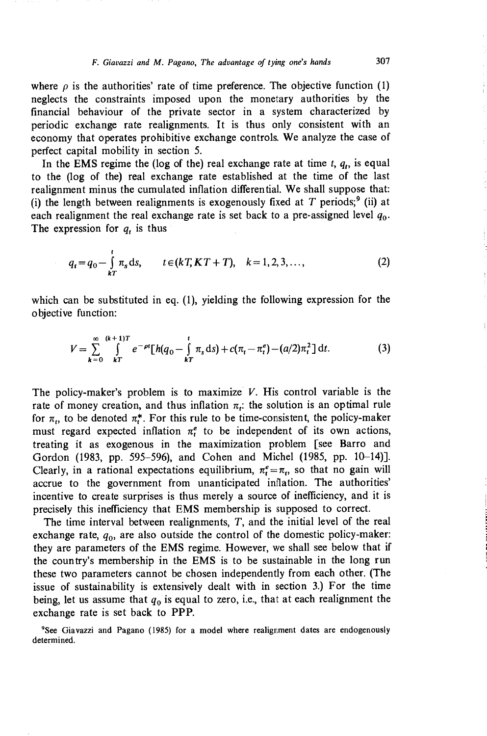307 F. Giavazzi and M. Pagano, The advantage of tying one's hands<br>where  $\rho$  is the authorities' rate of time preference. The objective function (1)<br>neglects the constraints imposed upon the monetary authorities by the financial behaviour of the private sector in a system characterized by periodic exchange rate realignments. It is thus only consistent with an economy that operates prohibitive exchange controls. We analyze the case of perfect capital mobility in section 5. periodic exchange rate realignments. It is thus only consistent with an economy that operates prohibitive exchange controls. We analyze the case of perfect capital mobility in section 5.<br>In the EMS regime the (log of the)

economy that operates prohibitive exchange controls. We analyze the case of perfect capital mobility in section 5. In the EMS regime the (log of the) real exchange rate at time t,  $q_t$ , is equal to the (log of the) real e to the (log of the) real exchange rate established at the time of the last(i) the length between realignments is exogenously fixed at T periods;<sup>9</sup> (ii) at (i) the length between realignments is exogenously fixed at T periods;<sup>9</sup> (ii) at each realignment the real exchange rate is set back to a pre-assigned level  $q_0$ . each realignment the real exchange rate is set back to a pre-assigned level  $q_0$ .<br>The expression for  $q_t$  is thus The expression for  $q_i$  is thus

$$
q_t = q_0 - \int_{kT}^{t} \pi_s ds, \qquad t \in (kT, KT + T), \quad k = 1, 2, 3, ..., \tag{2}
$$

which can be substituted in eq.  $(1)$ , yielding the following expression for the

objective function:  
\n
$$
V = \sum_{k=0}^{\infty} \int_{kT}^{(k+1)T} e^{-\rho t} [h(q_0 - \int_{kT}^{t} \pi_s ds) + c(\pi_t - \pi_t^e) - (a/2)\pi_t^2] dt.
$$
\n(3)

 $V = \sum_{k=0}^{\infty} \int_{kT}^{\infty} e^{-\rho t} [h(q_0 - \int_{kT} \pi_s ds) + c(\pi_t - \pi_t^e) - (a/2)\pi_t^2] dt.$  (3)<br>The policy-maker's problem is to maximize V. His control variable is the<br>rate of money creation, and thus inflation  $\pi_t$ ; the solution is an rate of money creation, and thus inflation  $\pi_i$ : the solution is an optimal rule<br>for  $\pi_i$ , to be denoted  $\pi_i^*$ . For this rule to be time-consistent, the policy-maker<br>must regard expected inflation  $\pi_i^e$  to be indepe for  $\pi_t$ , to be denoted  $\pi_t^*$ . For this rule to be time-consistent, the policy-maker must regard expected inflation  $\pi_t^e$  to be independent of its own actions, treating it as exogenous in the maximization problem [se must regard expected inflation  $\pi_i^e$  to be independent of its own actions<br>treating it as exogenous in the maximization problem [see Barro and<br>Gordon (1983, pp. 595–596), and Cohen and Michel (1985, pp. 10–14)]<br>Clearly, g it as exogenous in the maximization problem [see Barro and<br>on (1983, pp. 595–596), and Cohen and Michel (1985, pp. 10–14)]<br>y, in a rational expectations equilibrium,  $\pi_t^e = \pi_t$ , so that no gain wil<br>to the government fr Clearly, in a rational expectations equilibrium,  $\pi_i^e = \pi_i$ , so that no gain will accrue to the government from unanticipated inflation. The authorities' incentive to create surprises is thus merely a source of inefficie

The time interval between realignments,  $T$ , and the initial level of the real exchange rate,  $q_0$ , are also outside the control of the domestic policy-maker: they are parameters of the EMS regime. However, we shall see below that if the country's membership in the EMS is to be sustainable in the long run these two parameters cannot be chosen independently from each other. (The issue of sustainability is extensively dealt with in section 3.) For the time these two parameters cannot be chosen independently from each other. (The issue of sustainability is extensively dealt with in section 3.) For the time being, let us assume that  $q_0$  is equal to zero, i.e., that at each being, let us assume that  $q_0$  is equal to zero, i.e., that at each realignment the exchange rate is set back to PPP.<br><sup>9</sup>See Giavazzi and Pagano (1985) for a model where realignment dates are endogenously determined.

exchange rate is set back to PPP.<br><sup>9</sup>See Giavazzi and Pagano (1985) for a model where realignment dates are endogenously determined. determined.<br>The contract of the contract of the contract of the contract of the contract of the contract of the contract of<br>The contract of the contract of the contract of the contract of the contract of the contract of th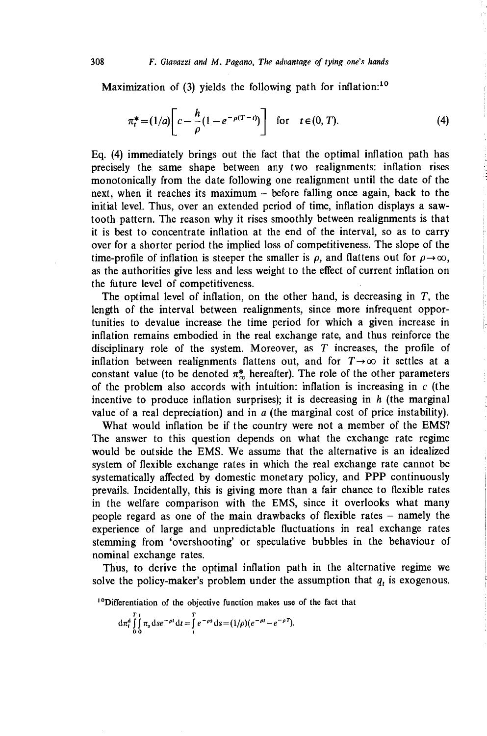8 F. Giavazzi and M. Pagano, The advantage of tying one's hands<br>Maximization of (3) yields the following path for inflation:<sup>10</sup>

$$
\pi_t^* = (1/a) \bigg[ c - \frac{h}{\rho} (1 - e^{-\rho(T-t)}) \bigg] \quad \text{for} \quad t \in (0, T). \tag{4}
$$

Eq. (4) immediately brings out the fact that the optimal inflation path has precisely the same shape between any two realignments: inflation rises monotonically from the date following one realignment until the date of th monotonically from the date following one realignment until the date of the monotonically from the date following one realignment until the date of the<br>next, when it reaches its maximum – before falling once again, back to the<br>initial level. Thus, over an extended period of time, inflation displa next, when it reaches its maximum – before falling once again, back to the<br>initial level. Thus, over an extended period of time, inflation displays a saw<br>tooth pattern. The reason why it rises smoothly between realignments tooth pattern. The reason why it rises smoothly between realignments is that it is best to concentrate inflation at the end of the interval, so as to carry over for a shorter period the implied loss of competitiveness. The slope of the over for a shorter period the implied loss of competitiveness. The slope of the time-profile of inflation is steeper the smaller is  $\rho$ , and flattens out for  $\rho \rightarrow \infty$  as the authorities give less and less weight to the

as the authorities give less and less weight to the effect of current inflation on the future level of competitiveness.<br>The optimal level of inflation, on the other hand, is decreasing in  $T$ , the length of the interval b tunities to devalue increase the time period for which a given increase in inflation remains embodied in the real exchange rate, and thus reinforce the disciplinary role of the system. Moreover, as  $T$  increases, the prof inflation remains embodied in the real exchange rate, and thus reinforce the<br>disciplinary role of the system. Moreover, as T increases, the profile of<br>inflation between realignments flattens out, and for  $T \rightarrow \infty$  it settl of the problem also accords with intuition: inflation is increasing in  $c$  (the incentive to produce inflation surprises); it is decreasing in  $h$  (the marginal value of a real depreciation) and in  $a$  (the marginal cost

incentive to produce inflation surprises); it is decreasing in  $h$  (the marginal value of a real depreciation) and in  $a$  (the marginal cost of price instability).<br>What would inflation be if the country were not a member The answer to this question depends on what the exchange rate regime would be outside the EMS. We assume that the alternative is an idealized system of flexible exchange rates in which the real exchange rate cannot be syst would be outside the EMS. We assume that the alternative is an idealized system of flexible exchange rates in which the real exchange rate cannot be systematically affected by domestic monetary policy, and PPP continuously system of flexible exchange rates in which the real exchange rate cannot be systematically affected by domestic monetary policy, and PPP continuously prevails. Incidentally, this is giving more than a fair chance to flexib prevails. Incidentally, this is giving more than a fair chance to flexible rates<br>in the welfare comparison with the EMS, since it overlooks what many<br>people regard as one of the main drawbacks of flexible rates – namely th in the welfare comparison with the EMS, since it overlooks what many<br>people regard as one of the main drawbacks of flexible rates – namely the<br>experience of large and unpredictable fluctuations in real exchange rates people regard as one of the main drawbacks of flexible rates – namely the experience of large and unpredictable fluctuations in real exchange rates stemming from 'overshooting' or speculative bubbles in the behaviour of no experience of large and unpredictable fluctuations in real exchange rates stemming from 'overshooting' or speculative bubbles in the behaviour of nominal exchange rates.<br>Thus, to derive the optimal inflation path in the a

Thus, to derive the optimal inflation path in the alternative regime we<br>lve the policy-maker's problem under the assumption that  $q_t$  is exogenous solve the policy-maker's problem under the assumption that  $q_t$  is exogenous.<br>
'<sup>0</sup>Differentiation of the objective function makes use of the fact that<br>  $d\pi^t \int \int \pi \cdot dse^{-\rho t} dt = \int e^{-\rho s} ds = (1/\rho)(e^{-\rho t} - e^{-\rho T})$ .

 $\int_{0}^{1} \int_{0}^{\pi} \pi_{s} ds e^{-\rho t} dt = \int_{1}^{1} e^{-\rho s} ds = (1/\rho)(e^{-\rho t} - e^{-\rho T}).$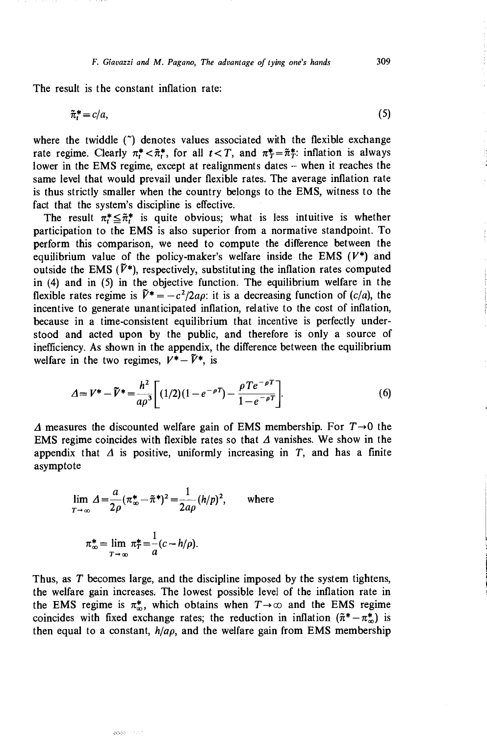$$
\tilde{\pi}_t^* = c/a,\tag{5}
$$

F. Glaozzi and M. Pagano, The advantage of tying one's hands<br>
The result is the constant inflation rate:<br>  $\tilde{\pi}_t^* = c/a$ , (5)<br>
where the vividele ( $\tilde{\eta}$ ) denotes values associated with the flexible exchange<br>
where the

welfare in the two regimes, 
$$
V^* - \tilde{V}^*
$$
, is  
\n
$$
\Delta = V^* - \tilde{V}^* = \frac{h^2}{a\rho^3} \left[ (1/2)(1 - e^{-\rho T}) - \frac{\rho T e^{-\rho T}}{1 - e^{-\rho T}} \right].
$$
\n
$$
\Delta
$$
 measures the discounted welfare gain of EMS membership. For  $T \to 0$  the

EMS regime coincides with flexible rates so that  $\Delta$  vanishes. We show in the appendix that  $\Delta$  is positive, uniformly increasing in  $T$ , and has a finite asymptote EMS regime coincides with flexible rates so that  $\Delta$  vanishes. We show in the appendix that  $\Delta$  is positive, uniformly increasing in T, and has a finite asymptote appendix that  $\Delta$  is positive, uniformly increasing in  $T$ , and has a finite asymptote

asymptote  
\n
$$
\lim_{T \to \infty} \Delta = \frac{a}{2\rho} (\pi_{\infty}^* - \tilde{\pi}^*)^2 = \frac{1}{2a\rho} (h/p)^2,
$$
\nwhere  
\n
$$
\pi_{\infty}^* = \lim_{T \to \infty} \pi_T^* = \frac{1}{a} (c - h/\rho).
$$
\nThus, as *T* becomes large, and the discipline imposed by the system tightens  
\nthe welfare gain increases. The lowest possible level of the inflation rate in  
\nthe EMS regime is  $\pi_{\infty}^*$ , which obtains when  $T \to \infty$  and the EMS regime

60-55

the welfare gain increases. The lowest possible level of the inflation rate in the EMS regime is  $\pi^*_{\infty}$ , which obtains when  $T \rightarrow \infty$  and the EMS regime the EMS regime is  $\pi_{\infty}^{*}$ , which obtains when  $T \rightarrow \infty$  and the EMS regime coincides with fixed exchange rates; the reduction in inflation ( $\tilde{\pi}^{*} - \pi_{\infty}^{*}$ ) is then equal to a constant,  $h/q\rho$ , and the welfare then equal to a constant,  $h/a\rho$ , and the welfare gain from EMS membership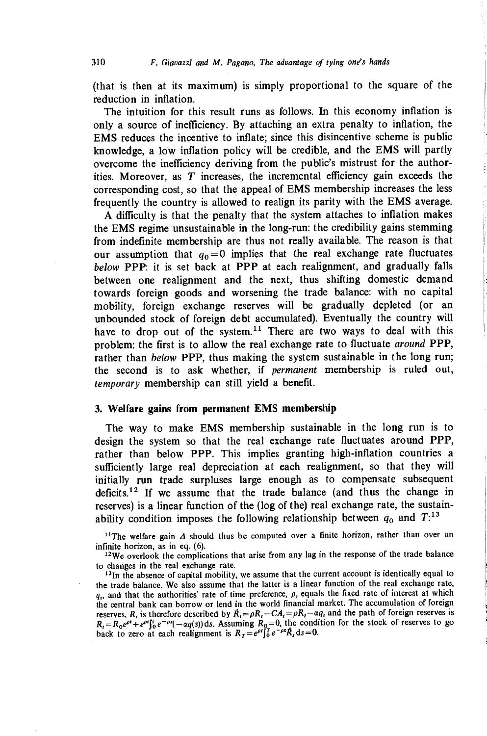F. Giavazzi and M. Pagano, The advantage of tying one's hands<br>
(that is then at its maximum) is simply proportional to the square of the<br>
reduction in inflation.<br>
The intuition for this result runs as follows. In this econ

reduction in inflation.<br>The intuition for this result runs as follows. In this economy inflation is<br>only a source of inefficiency. By attaching an extra penalty to inflation, the<br>EMS reduces the incentive to inflate; since only a source of inefficiency. By attaching an extra penalty to inflation, the<br>EMS reduces the incentive to inflate; since this disincentive scheme is public<br>knowledge, a low inflation policy will be credible, and the EMS knowledge, a low inflation policy will be credible, and the EMS will partly overcome the inefficiency deriving from the public's mistrust for the authorities. Moreover, as  $T$  increases, the incremental efficiency gain ex corresponding cost, so that the appeal of EMS membership increases the less overcome the inefficiency deriving from the public's mistrust for the author-<br>ities. Moreover, as T increases, the incremental efficiency gain exceeds the<br>corresponding cost, so that the appeal of EMS membership increases corresponding cost, so that the appeal of EMS membership increases the less<br>frequently the country is allowed to realign its parity with the EMS average<br>A difficulty is that the penalty that the system attaches to inflatio

A difficulty is that the penalty that the system attaches to inflation makes the EMS regime unsustainable in the long-run: the credibility gains stemming from indefinite membership are thus not really available. The reason the EMS regime unsustainable in the long-run: the credibility gains stemming<br>from indefinite membership are thus not really available. The reason is tha<br>our assumption that  $q_0=0$  implies that the real exchange rate fluc from indefinite membership are thus not really available. The reason is that our assumption that  $q_0=0$  implies that the real exchange rate fluctuates below PPP: it is set back at PPP at each realignment, and gradually f below PPP: it is set back at PPP at each realignment, and gradually falls<br>between one realignment and the next, thus shifting domestic demand<br>towards foreign goods and worsening the trade balance: with no capital<br>mobility, between one realignment and the next, thus shifting domestic demand<br>towards foreign goods and worsening the trade balance: with no capita<br>mobility, foreign exchange reserves will be gradually depleted (or an<br>unbounded stoc towards foreign goods and worsening the trade balance: with no capital mobility, foreign exchange reserves will be gradually depleted (or an unbounded stock of foreign debt accumulated). Eventually the country will have to is will be gradually depleted (or an<br>incumulated). Eventually the country will<br>There are two ways to deal with this<br>increase rate to fluctuate around PPP<br>at the system sustainable in the long run unbounded stock of foreign debt accumulated). Eventually the country will have to drop out of the system.<sup>11</sup> There are two ways to deal with this problem: the first is to allow the real exchange rate to fluctuate *around* problem: the first is to allow the real exchange rate to fluctuate *around* PPP, rather than *below* PPP, thus making the system sustainable in the long run; the second is to ask whether, if *permanent* membership is ruled the second is to ask whether, if permanent membership is ruled out, temporary membership can still yield a benefit.<br>
3. Welfare gains from permanent EMS membership

The way to make EMS membership sustainable in the long run is to design the system so that the real exchange rate fluctuates around PPP, rather than below PPP. This implies granting high-inflation countries a sufficiently rather than below PPP. This implies granting high-inflation countries a sufficiently large real depreciation at each realignment, so that they will initially run trade surpluses large enough as to compensate subsequent de sufficiently large real depreciation at each realignment, so that they will initially run trade surpluses large enough as to compensate subsequent deficits.<sup>12</sup> If we assume that the trade balance (and thus the change in

ability condition imposes the following relationship between  $q_0$  and  $T:$ <sup>13</sup><br><sup>11</sup>The welfare gain  $\Delta$  should thus be computed over a finite horizon, rather than over an infinite horizon, as in eq. (6). <sup>11</sup>The welfare gain  $\Delta$  should thus be computed over a finite horizon, rather than over an infinite horizon, as in eq. (6).<br><sup>12</sup>We overlook the complications that arise from any lag in the response of the trade balance<br>

to changes in the real exchange rate.<br><sup>13</sup>In the absence of capital mobility, we assume that the current account is identically equal to the trade balance. We also assume that the latter is a linear function of the real e reserves, R, is therefore described by  $\dot{R}_i = \rho R_i - CA_i = \rho R_i - \alpha q_i$  and the path of foreign reserves is the central bank can borrow or lend in the world financial market. The accumulation of foreign<br>reserves, R, is therefore described by  $R_t = \rho R_t - CA_t = \rho R_t - \alpha q_t$  and the path of foreign reserves is<br> $R_t = R_0 e^{\rho t} + e^{\rho t} \int_0^t e^{$ reserves, R, is therefore described by  $\dot{R}_t = \rho R_t - CA_t = \rho R_t - \alpha q_t$  and the path of foreign reserves is  $R_t = R_0 e^{\rho t} + e^{\rho t} \int_0^t e^{-\rho t} (-\alpha q(s)) ds$ . Assuming  $R_0 = 0$ , the condition for the stock of reserves to go back to zero back to zero at each realignment is  $R_T = e^{\rho t} \int_0^t e^{-\rho t} R_s ds = 0$ .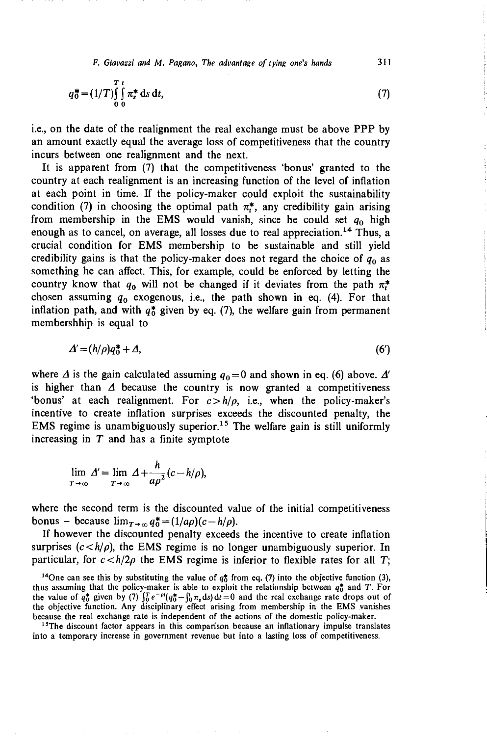F. Giavazzi and M. Pagano, The advantage of tying one's hands\n
$$
q_0^* = (1/T) \int_0^T \int_0^* \pi_s^* ds dt,
$$
\n(7)

i.e., on the date of the realignment the real exchange must be above PPP by an amount exactly equal the average loss of competitiveness that the country incurs between one realignment and the next.

an amount exactly equal the average loss of competitiveness that the country<br>incurs between one realignment and the next.<br>It is apparent from (7) that the competitiveness 'bonus' granted to the<br>country at each realignment incurs between one realignment and the next.<br>It is apparent from (7) that the competitiveness 'bonus' granted to the<br>country at each realignment is an increasing function of the level of inflation<br>at each point in time. If country at each realignment is an increasing function of the level of inflation<br>at each point in time. If the policy-maker could exploit the sustainability<br>condition (7) in choosing the optimal path  $\pi_t^*$ , any credibili at each point in time. If the policy-maker could exploit the sustainability<br>condition (7) in choosing the optimal path  $\pi_t^*$ , any credibility gain arising<br>from membership in the EMS would vanish, since he could set  $q_0$ from membership in the EMS would vanish, since he could set  $q_0$  high enough as to cancel, on average, all losses due to real appreciation.<sup>14</sup> Thus, a crucial condition for EMS membership to be sustainable and still yie from membership in the EMS would vanish, since he could set  $q_0$  high<br>enough as to cancel, on average, all losses due to real appreciation.<sup>14</sup> Thus, a<br>crucial condition for EMS membership to be sustainable and still yie enough as to cancel, on average, all losses due to real appreciation.<sup>14</sup> Thus, a crucial condition for EMS membership to be sustainable and still yield credibility gains is that the policy-maker does not regard the choic something he can affect. This, for example, could be enforced by letting the country know that  $q_0$  will not be changed if it deviates from the path  $\pi^*$ something he can affect. This, for example, could be enforced by letting the country know that  $q_0$  will not be changed if it deviates from the path  $\pi_t^*$  chosen assuming  $q_0$  exogenous, i.e., the path shown in eq. (4 country know that  $q_0$  will not be changed if it deviates from the path  $\pi_t^*$  chosen assuming  $q_0$  exogenous, i.e., the path shown in eq. (4). For that inflation path, and with  $q_0^*$  given by eq. (7), the welfare ga inflation path, and with  $q_0^*$  given by eq. (7), the welfare gain from permanent membershhip is equal to <br>  $A' = (h/\rho)q_0^* + \Delta,$  (6)

$$
\Delta' = (h/\rho)q_0^* + \Delta,\tag{6'}
$$

 $\Delta' = (h/\rho)q_0^* + \Delta,$  (6')<br>where  $\Delta$  is the gain calculated assuming  $q_0 = 0$  and shown in eq. (6) above.  $\Delta$ is higher than  $\Delta$  because the country is now granted a competitiveness 'bonus' at each realignment. For  $c > h/\rho$ , i.e., when the policy-maker's 'bonus' at each realignment. For  $c > h/\rho$ , i.e., when the policy-maker's<br>incentive to create inflation surprises exceeds the discounted penalty, the<br>EMS regime is unambiguously superior.<sup>15</sup> The welfare gain is still unifo incentive to create inflation surprises exceeds the discounted penalty, the EMS regime is unambiguously superior.<sup>15</sup> The welfare gain is still uniformly increasing in  $T$  and has a finite symptote EMS regime is unambiguously superior.<sup>15</sup> The welfare gain is still uniformly increasing in T and has a finite symptote increasing in  $T$  and has a finite symptote

$$
\lim_{T\to\infty}\Delta'=\lim_{T\to\infty}\Delta+\frac{h}{a\rho^2}(c-h/\rho),
$$

where the second term is the discounted value of the initial competitiveness<br>bonus – because  $\lim_{T\to\infty} q_0^* = (1/a\rho)(c-h/\rho)$ .<br>If however the discounted penalty exceeds the incentive to create inflation<br>surprises  $(c < h/\rho)$ , t

because the real exchange rate is independent of the actions of the domestic policy-maker.<br><sup>15</sup>The discount factor appears in this comparison because an inflationary impulse translates<br>into a temporary increase in governme into a temporary increase in government revenue but into a lasting loss of competitiveness.

<sup>&</sup>lt;sup>14</sup>One can see this by substituting the value of  $q_0^*$  from eq. (7) into the objective function (3), thus assuming that the policy-maker is able to exploit the relationship between  $q_0^*$  and T. For particular, for  $c < h/2\rho$  the EMS regime is inferior to flexible rates for all T;<br><sup>14</sup>One can see this by substituting the value of  $q_0^*$  from eq. (7) into the objective function (3),<br>thus assuming that the policy-maker thus assuming that the policy-maker is able to exploit the relationship between  $q_0^*$  and  $T$ . For the value of  $q_0^*$  given by (7)  $\int_0^T e^{-\rho t} (q_0^* - \int_0^t \pi_s ds) dt = 0$  and the real exchange rate drops out of the objec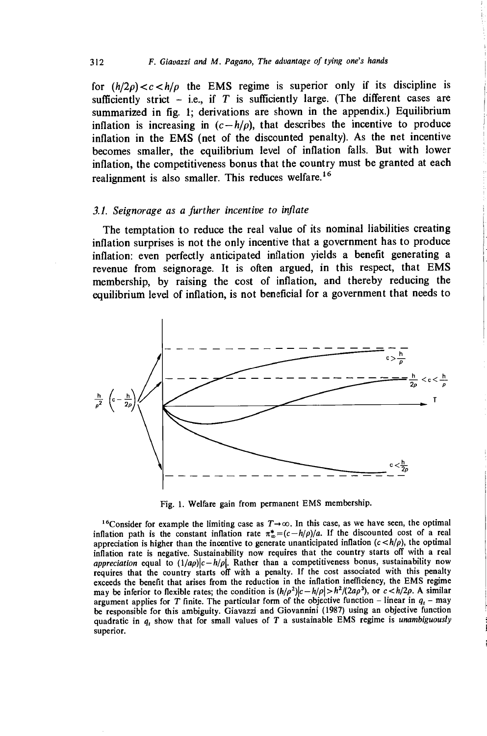F. Giavazzi and M. Pagano, The advantage of tying one's hands<br>for  $(h/2\rho) < c < h/\rho$  the EMS regime is superior only if its<br>sufficiently strict – i.e., if T is sufficiently large. (The different<br>means in the appendix) for  $(h/2\rho) < c < h/\rho$  the EMS regime is superior only if its discipline is sufficiently strict - i.e., if T is sufficiently large. (The different cases are summarized in fig. 1; derivations are shown in the appendix.) Equili inflation is increasing in  $(c-h/\rho)$ , that describes the incentive to produce<br>inflation in the EMS (net of the discounted penalty). As the net incentive<br>becomes smaller, the equilibrium level of inflation falls. But with lo realignment is also smaller. This reduces welfare.<sup>16</sup>

The temptation to reduce the real value of its nominal liabilities creating inflation surprises is not the only incentive that a government has to produce inflation: even perfectly anticipated inflation yields a benefit generating a inflation surprises is not the only incentive that a government has to produce inflation: even perfectly anticipated inflation yields a benefit generating a revenue from seignorage. It is often argued, in this respect, tha revenue from seignorage. It is often argued, in this respect, that EMS<br>membership, by raising the cost of inflation, and thereby reducing the<br>equilibrium level of inflation, is not beneficial for a government that needs to



Fig. 1. Welfare gain from permanent EMS membership.

<sup>16</sup>Consider for example the limiting case as  $T\rightarrow\infty$ . In this case, as we have seen, the optimal inflation path is the constant inflation rate  $\pi_{\infty}^* = (c-h/\rho)/a$ . If the discounted cost of a real inflation path is the constant inflation rate  $\pi_{\infty}^{*} = (c - h/\rho)/a$ . If the discounted cost of a real appreciation is higher than the incentive to generate unanticipated inflation  $(c < h/\rho)$ , the optima inflation rate is ne inflation rate is negative. Sustainability now requires that the country starts off with a real inflation rate is negative. Sustainability now requires that the country starts off with a real appreciation equal to  $(1/a\rho)c - h/\rho$ . Rather than a competitiveness bonus, sustainability now appreciation equal to  $(1/a\rho)|c-h/\rho|$ . Rather than a competitiveness bonus, sustainability now<br>requires that the country starts off with a penalty. If the cost associated with this penalty<br>exceeds the benefit that arises fr exceeds the benefit that arises from the reduction in the inflation inefficiency, the EMS regime<br>may be inferior to flexible rates; the condition is  $(h/\rho^2)|c-h/\rho|>h^2/(2a\rho^3)$ , or  $c < h/2\rho$ . A similar<br>argument applies for argument applies for T finite. The particular form of the objective function – linear in  $q_t$  – may quadratic in  $q_t$  show that for small values of T a sustainable EMS regime is unambiguously  $\frac{h}{a^2}$   $\left(c - \frac{h}{2g}\right)$ <br>  $\left(c - \frac{h}{2g}\right)$ <br>  $\left(c - \frac{h}{2g}\right)$ <br>  $\left(c - \frac{h}{2g}\right)$ <br>  $\left(c - \frac{h}{2g}\right)$ <br>  $\left(c - \frac{h}{2g}\right)$ <br>  $\left(c - \frac{h}{2g}\right)$ <br>  $\left(c - \frac{h}{2g}\right)$ <br>  $\left(c - \frac{h}{2g}\right)$ <br>  $\left(c - \frac{h}{2g}\right)$ <br>  $\left(c - \frac{h}{2g}\right)$ <br>  $\left(c - \frac{h}{2$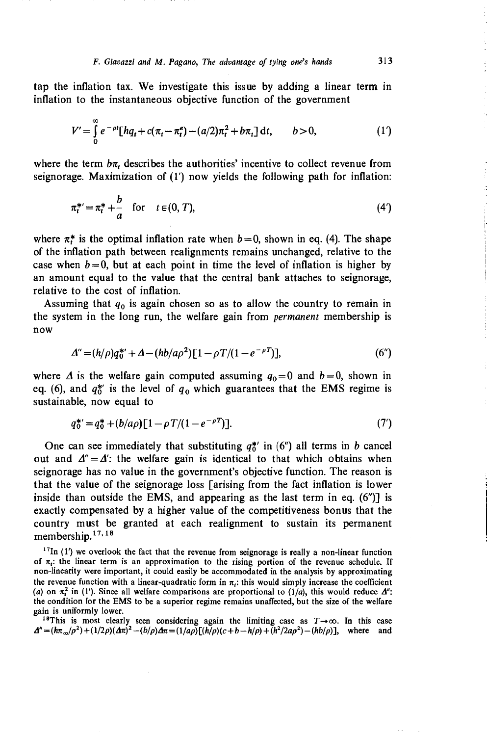F. Giavazzi and M. Pagano, The advantage of tying one's hands 313<br>tap the inflation tax. We investigate this issue by adding a linear term in inflation to the instantaneous objective function of the government

$$
V' = \int_{0}^{\infty} e^{-\rho t} [h q_t + c(\pi_t - \pi_t^e) - (a/2)\pi_t^2 + b\pi_t] dt, \qquad b > 0,
$$
 (1')

 $V' = \int_{0}^{t} e^{-\rho t} [hq_t + c(\pi_t - \pi_t^e) - (a/2)\pi_t^2 + b\pi_t] dt$ ,  $b > 0$ , (1')<br>where the term  $b\pi_t$  describes the authorities' incentive to collect revenue from<br>seignorage. Maximization of (1') now yields the following path for infla

seignorage. Maximization of (1') now yields the following path for inflation:

\n
$$
\pi_t^* = \pi_t^* + \frac{b}{a}
$$
\nfor  $t \in (0, T)$ ,

\n(4')

\nwhere  $\pi_t^*$  is the optimal inflation rate when  $b = 0$ , shown in eq. (4). The shape of the inflation path between realignments remains unchanged, relative to the

 $\pi_t^{*} = \pi_t^{*} + \frac{1}{a}$  for  $t \in (0, T)$ , (4')<br>where  $\pi_t^{*}$  is the optimal inflation rate when  $b = 0$ , shown in eq. (4). The shape<br>of the inflation path between realignments remains unchanged, relative to the<br>case when  $b$ of the inflation path between realignments remains unchanged, relative to the case when  $b=0$ , but at each point in time the level of inflation is higher by an amount equal to the value that the central bank attaches to s an amount equal to the value that the central bank attaches to seignorage, relative to the cost of inflation.<br>Assuming that  $q_0$  is again chosen so as to allow the country to remain in

an amount equal to the value that the central bank attaches to seignorage, relative to the cost of inflation.<br>Assuming that  $q_0$  is again chosen so as to allow the country to remain in the system in the long run, the wel the system in the long run, the welfare gain from *permanent* membership is<br>now<br> $\Delta'' = (h/\rho)q_0^* + \Delta - (hb/a\rho^2)[1 - \rho T/(1 - e^{-\rho T})],$  (6")

$$
\Delta'' = (h/\rho)q_0^* + \Delta - (hb/a\rho^2)[1 - \rho T/(1 - e^{-\rho T})],\tag{6'}
$$

 $A'' = (h/\rho)q_0^* + A - (hb/a\rho^2)[1 - \rho T/(1 - e^{-\rho T})],$  (6")<br>where  $\Delta$  is the welfare gain computed assuming  $q_0 = 0$  and  $b = 0$ , shown ir<br>eq. (6), and  $q_0^*$  is the level of  $q_0$  which guarantees that the EMS regime is<br>sustainable, eq. (6), and  $q_0^*$  is the level of  $q_0$  which guarantees that the EMS regime is<br>sustainable, now equal to<br> $q_0^* = q_0^* + (b/a\rho)[1 - \rho T/(1 - e^{-\rho T})]$ . (7) sustainable, now equal to<br>  $q_0^* = q_0^* + (b/a\rho)[1 - \rho T/(1 - e^{-\rho T})].$  (7)

$$
q_0^* = q_0^* + (b/a\rho)[1 - \rho T/(1 - e^{-\rho T})].
$$
\n(7)

 $q_0^* = q_0^* + (b/a\rho)[1-\rho T/(1-e^{-\rho T})]$ . (7)<br>One can see immediately that substituting  $q_0^*$  in (6") all terms in b cancel<br>out and  $\Delta'' = \Delta'$ : the welfare gain is identical to that which obtains when<br>seignorage has no value in seignorage has no value in the government's objective function. The reason is that the value of the seignorage loss [arising from the fact inflation is lower inside than outside the EMS, and appearing as the last term in e inside than outside the EMS, and appearing as the last term in eq. (6")] is exactly compensated by a higher value of the competitiveness bonus that the country must be granted at each realignment to sustain its permanent exactly compensated by a higher value of the competitiveness bonus that the country must be granted at each realignment to sustain its permanent membership.<sup>17,18</sup> country must be granted at each realignment to sustain its permanent<br>membership.<sup>17, 18</sup><br><sup>17</sup>In (1') we overlook the fact that the revenue from seignorage is really a non-linear function<br>of  $\pi$ <sub>i</sub>: the linear term is an  $(7')$ <br>  $\text{ice}$ <br>  $\text{ner}$ <br>  $\text{use}$ <br>  $\text{let}$ <br>  $\text{let}$ <br>  $\text{let}$ <br>  $\text{let}$ <br>  $\text{let}$ <br>  $\text{let}$ <br>  $\text{let}$ <br>  $\text{let}$ <br>  $\text{let}$ <br>  $\text{let}$ <br>  $\text{let}$ <br>  $\text{let}$ <br>  $\text{let}$ <br>  $\text{let}$ <br>  $\text{let}$ <br>  $\text{let}$ <br>  $\text{let}$ 

<sup>17</sup>In (1) we overlook the fact that the revenue from seignorage is really a non-linear function of  $\pi_i$ : the linear term is an approximation to the rising portion of the revenue schedule. If non-linearity were important of  $\pi_i$ : the linear term is an approximation to the rising portion of the revenue schedule. If non-linearity were important, it could easily be accommodated in the analysis by approximating the revenue function with a li the revenue function with a linear-quadratic form in  $\pi_i$ : this would simply increase the coefficien (a) on  $\pi_i^2$  in (1'). Since all welfare comparisons are proportional to (1/a), this would reduce  $\Delta^i$  the condition the condition for the EMS to be a superior regime remains unaffected, but the size of the welfare gain is uniformly lower.<br><sup>18</sup>This is most clearly seen considering again the limiting case as  $T \rightarrow \infty$ . In this case

gain is uniformly lower.<br>
<sup>18</sup>This is most clearly seen considering again the limiting case as  $T\rightarrow\infty$ . In this case<br>  $\Delta'' = (h\pi_{\infty}/\rho^2) + (1/2\rho)(\Delta\pi)^2 - (b/\rho)\Delta\pi = (1/a\rho)\left[ (h/\rho)(c + b - h/\rho) + (h^2/2a\rho^2) - (hb/\rho) \right]$ , where and =  $(h\pi_{\infty}/\rho^2)$  + ( 1/2  $\rho$ )( $\Delta \pi$ )<sup>2</sup> - (  $b/\rho$ ) $\Delta \pi$  = (1/a  $\rho$ ) [( $h/\rho$ )( $c + b - h/\rho$ ) + ( $h^2/2a\rho^2$ ) - ( $hb/\rho$ )], where and<br>and  $h/\rho$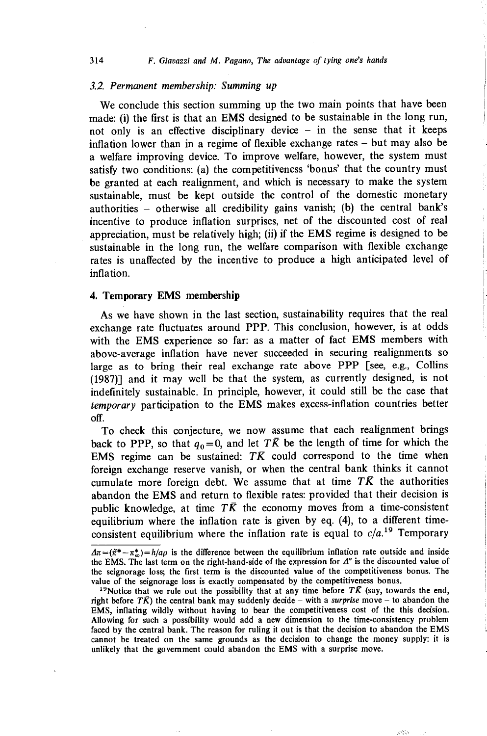F. Giavazzi and M. Pagano, The advantage of tying one's hands<br>3.2. Permanent membership: Summing up<br>We conclude this section summing up the two main points that have been made: (i) the first is that an EMS designed to be sustainable in the long run, not only is an effective disciplinary device  $-$  in the sense that it keeps inflation lower than in a regime of flexible exchange rates  $-$  bu not only is an effective disciplinary device - in the sense that it keeps inflation lower than in a regime of flexible exchange rates - but may also be a welfare improving device. To improve welfare, however, the system m a welfare improving device. To improve welfare, however, the system must be granted at each realignment, and which is necessary to make the system sustainable, must be kept outside the control of the domestic monetary<br>authorities – otherwise all credibility gains vanish; (b) the central bank's incentive to produce inflation surprises, net of the discounted cost of real appreciation, must be relatively high; (ii) if the EMS regime is designed to be sustainable in the long run, the welfare comparison with flexible sustainable in the long run, the welfare comparison with flexible exchange<br>rates is unaffected by the incentive to produce a high anticipated level of<br>inflation. rates is unaffected by the incentive to produce a high anticipated level of inflation.<br>inflation.<br>4. Temporary EMS membership

As we have shown in the last section, sustainability requires that the real exchange rate fluctuates around PPP. This conclusion, however, is at odds with the EMS experience so far: as a matter of fact EMS members with abo with the EMS experience so far: as a matter of fact EMS members with above-average inflation have never succeeded in securing realignments so large as to bring their real exchange rate above PPP [see, e.g., Colling above-average inflation have never succeeded in securing realignments so<br>large as to bring their real exchange rate above PPP [see, e.g., Collins<br>(1987)] and it may well be that the system, as currently designed, is no<br>ind large as to bring their real exchange rate above PPP [see, e.g., Collins (1987)] and it may well be that the system, as currently designed, is not indefinitely sustainable. In principle, however, it could still be the case

off.<br>To check this conjecture, we now assume that each realignment brings back to PPP, so that  $q_0 = 0$ , and let  $T\overline{K}$  be the length of time for which the back to PPP, so that  $q_0 = 0$ , and let  $T\overline{K}$  be the length of time for which the EMS regime can be sustained:  $T\overline{K}$  could correspond to the time when foreign exchange reserve vanish, or when the central bank think EMS regime can be sustained:  $T\bar{K}$  could correspond to the time wher<br>foreign exchange reserve vanish, or when the central bank thinks it cannot<br>cumulate more foreign debt. We assume that at time  $T\bar{K}$  the authoritie foreign exchange reserve vanish, or when the central bank thinks it cannot cumulate more foreign debt. We assume that at time  $T\overline{K}$  the authorities abandon the EMS and return to flexible rates: provided that their dec equilibrium where the inflation rate is given by eq. (4), to a different timepublic knowledge, at time  $T\bar{K}$  the economy moves from a time-consistent equilibrium where the inflation rate is given by eq. (4), to a different time-consistent equilibrium where the inflation rate is equal to  $c/a$ .<sup>1</sup>

314

consistent equilibrium where the inflation rate is equal to  $c/a$ .<sup>19</sup> Temporary<br>  $\Delta \pi = (\tilde{\pi}^* - \pi^*_{\infty}) = h/a\rho$  is the difference between the equilibrium inflation rate outside and inside<br>
the EMS. The last term on the ri  $A\pi = (\tilde{\pi}^* - \pi^*_{\infty}) = h/a\rho$  is the difference between the equilibrium inflation rate outside and inside<br>the EMS. The last term on the right-hand-side of the expression for  $\Delta''$  is the discounted value of<br>the seignorage

value of the seignorage loss is exactly compensated by the competitiveness bonus.<br><sup>19</sup>Notice that we rule out the possibility that at any time before  $T\bar{K}$  (say, towards the end, right before  $T\bar{K}$ ) the central bank EMS, inflating wildly without having to bear the competitiveness cost of the this decision. faced by the central bank. The reason for ruling it out is that the decision to abandon the EMS cannot be treated on the same grounds as the decision to change the money supply: it is unlikely that the government could aba cannot be treated on the same grounds as the decision to change the money supply: it is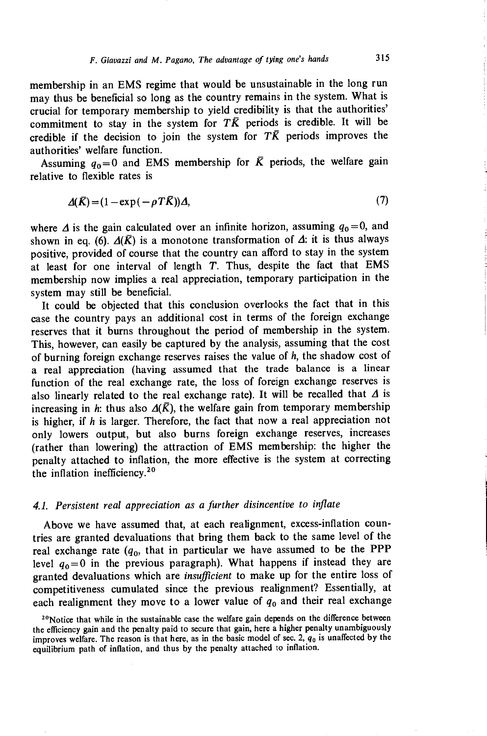F. Giavazzi and M. Pagano, The advantage of tying one's hands 315<br>membership in an EMS regime that would be unsustainable in the long run may thus be beneficial so long as the country remains in the system. What is crucial for temporary membership to yield credibility is that the authorities'<br>commitment to stay in the system for  $T\bar{K}$  periods is credible. It will be<br>credible if the decision to join the system for  $T\bar{K}$  periods

credible if the decision to join the system for TK periods improves the authorities' welfare function.<br>Assuming  $q_0=0$  and EMS membership for  $\bar{K}$  periods, the welfare gain relative to flexible rates is authorities' welfare function.<br>Assuming  $q_0=0$  and EMS membership for  $\bar{K}$  periods, the welfare gain<br>relative to flexible rates is

relative to flexible rates is  
\n
$$
\Delta(\vec{K}) = (1 - \exp(-\rho T \vec{K})) \Delta,
$$
\n(7)

 $\Delta(K) = (1 - \exp(-\rho TK))\Delta,$  (7)<br>where  $\Delta$  is the gain calculated over an infinite horizon, assuming  $q_0 = 0$ , and<br>shown in eq. (6).  $\Delta(K)$  is a monotone transformation of  $\Delta$ : it is thus always<br>positive, provided of course tha shown in eq. (6).  $\Delta(\overline{K})$  is a monotone transformation of  $\Delta$ : it is thus always positive, provided of course that the country can afford to stay in the system at least for one interval of length T. Thus, despite the at least for one interval of length  $T$ . Thus, despite the fact that EMS

at least for one interval of length  $T$ . Thus, despite the fact that EMS<br>membership now implies a real appreciation, temporary participation in the<br>system may still be beneficial.<br>It could be objected that this conclusion of burning foreign exchange reserves raises the value of  $h$ , the shadow cost of a real appreciation (having assumed that the trade balance is a linear function of the real exchange rate, the loss of foreign exchange reserves is also linearly related to the real exchange rate). It will be recalled that  $\Delta$  is a real appreciation (having assumed that the trade balance is a linear<br>function of the real exchange rate, the loss of foreign exchange reserves is<br>also linearly related to the real exchange rate). It will be recalled tha increasing in h: thus also  $\Delta(K)$ , the welfare gain from temporary membership<br>is higher, if h is larger. Therefore, the fact that now a real appreciation not<br>only lowers output, but also burns foreign exchange reserves, i is higher, if h is larger. Therefore, the fact that now a real appreciation not only lowers output, but also burns foreign exchange reserves, increases (rather than lowering) the attraction of EMS membership: the higher th (rather than lowering) the attraction of EMS membership: the higher the penalty attached to inflation, the more effective is the system at correcting the inflation inefficiency.<sup>20</sup> penalty attached to inflation, the more effective is the system at correcting<br>the inflation inefficiency.<sup>20</sup> the inflation inefficiency.<sup>20</sup><br>4.1. Persistent real appreciation as a further disincentive to inflate

4.1. Persistent real appreciation as a further disincentive to inflate<br>Above we have assumed that, at each realignment, excess-inflate Above we have assumed that, at each realignment, excess-inflation countries are granted devaluations that bring them back to the same level of the real exchange rate  $(q_0)$ , that in particular we have assumed to be the PP real exchange rate ( $q_0$ , that in particular we have assumed to be the PPP<br>level  $q_0=0$  in the previous paragraph). What happens if instead they are<br>granted devaluations which are *insufficient* to make up for the entir level  $q_0=0$  in the previous paragraph). What happens if instead they are granted devaluations which are *insufficient* to make up for the entire loss of competitiveness cumulated since the previous realignment? Essentia

each realignment they move to a lower value of  $q_0$  and their real exchange <sup>20</sup>Notice that while in the sustainable case the welfare gain depends on the difference between the efficiency gain and the penalty paid to sec <sup>20</sup>Notice that while in the sustainable case the welfare gain depends on the difference between efficiency gain and the penalty paid to secure that gain, here a higher penalty unambiguously proves welfare. The reason is the efficiency gain and the penalty paid to secure that gain, here a higher penalty unambiguously<br>improves welfare. The reason is that here, as in the basic model of sec. 2,  $q_0$  is unaffected by the<br>equilibrium path of improves welfare. The reason is that here, as in the basic model of sec. 2,  $q_0$  is unaffected by the equilibrium path of inflation, and thus by the penalty attached to inflation.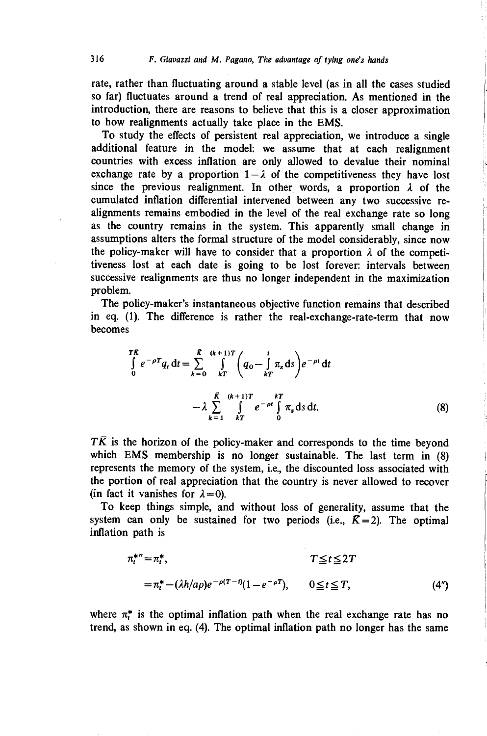316 F. Giavazzi and M. Pagano, The advantage of tying one's hands<br>rate, rather than fluctuating around a stable level (as in all the cases studied<br>so far) fluctuates around a trend of real appreciation. As mentioned in the

rate, rather than fluctuating around a stable kevel (as in all the cases studient into the<br>so far) fluctuates around a term of real appreciation. As mentioned in the<br>introduction, there are casos to believe that this is a

$$
\int_{0}^{TR} e^{-\rho T} q_t dt = \sum_{k=0}^{R} \int_{kT}^{(k+1)T} \left( q_0 - \int_{kT}^{t} \pi_s ds \right) e^{-\rho t} dt
$$

$$
- \lambda \sum_{k=1}^{R} \int_{kT}^{(k+1)T} e^{-\rho t} \int_{0}^{kT} \pi_s ds dt. \tag{8}
$$

$$
\pi_t^{*} = \pi_t^*, \qquad T \le t \le 2T
$$
  
=  $\pi_t^* - (\lambda h/a\rho)e^{-\rho(T-t)}(1 - e^{-\rho T}), \qquad 0 \le t \le T,$  (4")

where  $\pi_t^*$  is the optimal inflation path when the real exchange rate has no trend, as shown in eq. (4). The optimal inflation path no longer has the same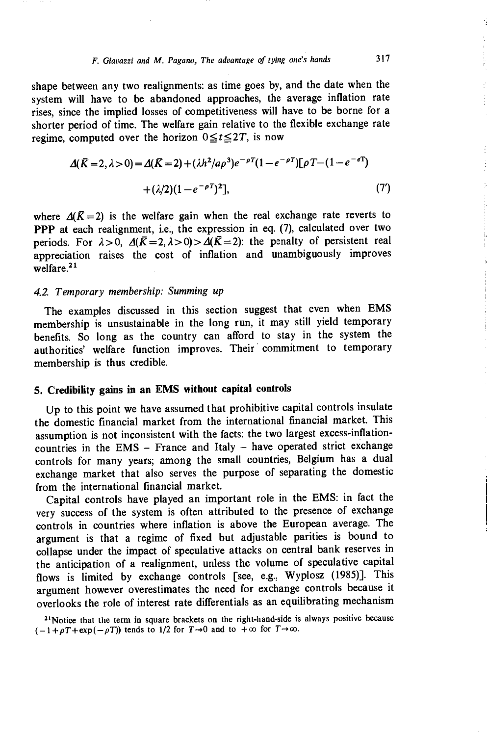F. Giavazzi and M. Pagano, The advantage of tying one's hands 317<br>shape between any two realignments: as time goes by, and the date when the<br>system will have to be abandoned approaches, the average inflation rate rises, since the implied losses of competitiveness will have to be borne for a rises, since the implied losses of competitiveness will have to be borne for a shorter period of time. The welfare gain relative to the flexible exchange rate regime, computed over the horizon  $0 \le t \le 2T$ , is now shorter period of time. The welfare gain relative to the flexible exchange rate<br>regime, computed over the horizon  $0 \le t \le 2T$ , is now<br> $\Delta(\overline{K}=2, \lambda > 0) = \Delta(\overline{K}=2) + (\lambda h^2/a\rho^3)e^{-\rho T}(1-e^{-\rho T})[\rho T-(1-e^{-\rho T})]$ 

regime, computed over the horizon 
$$
0 \le t \le 2T
$$
, is now  
\n
$$
\Delta(\bar{K}=2,\lambda>0) = \Delta(\bar{K}=2) + (\lambda h^2/a\rho^3)e^{-\rho T}(1-e^{-\rho T})[\rho T-(1-e^{-\rho T}) + (\lambda/2)(1-e^{-\rho T})^2],
$$
\n(7')  
\nwhere  $\Delta(\bar{K}=2)$  is the welfare gain when the real exchange rate reverts to PPP at each realignment, i.e., the expression in eq. (7), calculated over two

welfare.<sup>21</sup><br>4.2. Temporary membership: Summing up<br>Times in the solution of the costion averaget that even when EM where  $\Delta(\bar{K}=2)$  is the welfare gain when the real exchange rate reverts to<br>PPP at each realignment, i.e., the expression in eq. (7), calculated over two<br>periods. For  $\lambda > 0$ ,  $\Delta(\bar{K}=2, \lambda > 0) > \Delta(\bar{K}=2)$ : the penalty of appreciation raises the cost of inflation and unambiguously improves<br>welfare.<sup>21</sup><br>4.2. Temporary membership: Summing up

membership is unsustainable in the long run, it may still yield temporary benefits. So long as the country can afford to stay in the system the authorities' welfare function improves. Their commitment to temporary membership is thus credible.<br>5. Credibility gains in an EMS without capital contro authorities' welfare function improves. Their commitment to temporary

benefits. So long as the country can afford to stay in the system the<br>authorities' welfare function improves. Their commitment to temporary<br>membership is thus credible.<br>5. Credibility gains in an EMS without capital contro Up to this point we have assumed that prohibitive capital controls insulate<br>the domestic financial market from the international financial market. This<br>assumption is not inconsistent with the facts: the two largest excess countries in the EMS - France and Italy - have operated strict exchange controls for many years; among the small countries, Belgium has a dual exchange market that also serves the purpose of separating the domestic<br>from the international financial market.<br>Capital controls have played an important role in the EMS: in fact the

very success of the system is often attributed to the presence of exchange controls in countries where inflation is above the European average. The argument is that a regime of fixed but adjustable parities is bound to very success of the system is often attributed to the presence of exchange controls in countries where inflation is above the European average. The argument is that a regime of fixed but adjustable parities is bound to col collapse under the impact of speculative attacks on central bank reserves in<br>the anticipation of a realignment, unless the volume of speculative capital<br>flows is limited by exchange controls [see, e.g., Wyplosz (1985)]. Th the anticipation of a realignment, unless the volume of speculative capital flows is limited by exchange controls [see, e.g., Wyplosz (1985)]. This argument however overestimates the need for exchange controls because it argument however overestimates the need for exchange controls because it<br>overlooks the role of interest rate differentials as an equilibrating mechanism<br><sup>21</sup>Notice that the term in square brackets on the right-hand-side i

<sup>21</sup>Notice that the term in square brackets on the right-hand-side is always positive because  $(-1+\rho T+\exp(-\rho T))$  tends to 1/2 for  $T\rightarrow 0$  and to  $+\infty$  for  $T\rightarrow\infty$ .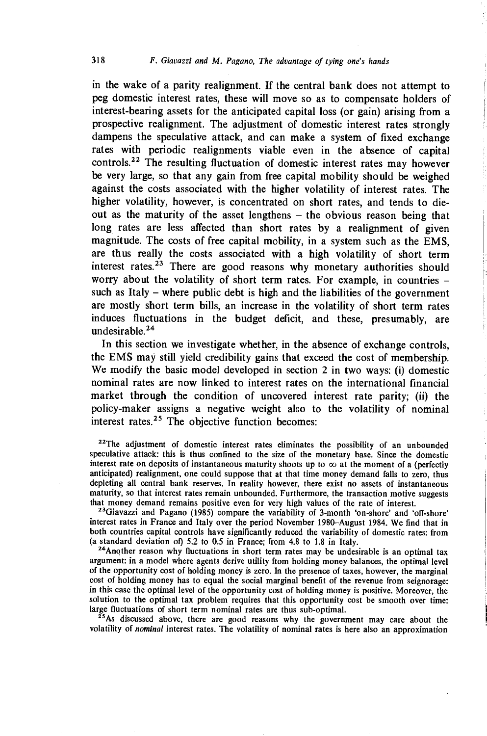F. Giavazzi and M. Pagano, The advantage of tying one's hands<br>in the wake of a parity realignment. If the central bank does not attempt to<br>peg domestic interest rates, these will move so as to compensate holders of interest-bearing assets for the anticipated capital loss (or gain) arising from a prospective realignment. The adjustment of domestic interest rates strongly dampens the speculative attack, and can make a system of fixed e rates with periodic realignments viable even in the absence of capital dampens the speculative attack, and can make a system of fixed exchange rates with periodic realignments viable even in the absence of capital controls.<sup>22</sup> The resulting fluctuation of domestic interest rates may however be very large, so that any gain from free capital mobility should be weighed against the costs associated with the higher volatility of interest rates. The higher volatility, however, is concentrated on short rates, and te against the costs associated with the higher volatility of interest rates. The<br>higher volatility, however, is concentrated on short rates, and tends to die-<br>out as the maturity of the asset lengthens – the obvious reason b magnitude. The costs of free capital mobility, in a system such as the EMS, are thus really the costs associated with a high volatility of short term interest rates.<sup>23</sup> There are good reasons why monetary authorities should worry about the volatility of short term rates. For example, in countries – such as Italy – where public debt is high and the liabilities of the government<br>are mostly short term bills, an increase in the volatility of short term rates<br>induces fluctuations in the budget deficit, and these, presuma

induces fluctuations in the budget deficit, and these, presumably, are undesirable.<sup>24</sup><br>In this section we investigate whether, in the absence of exchange controls,<br>the EMS may still yield credibility gains that exceed the We modify the basic model developed in section 2 in two ways: (i) domestic nominal rates are now linked to interest rates on the international financial nominal rates are now linked to interest rates on the international financial market through the condition of uncovered interest rate parity; (ii) the policy-maker assigns a negative weight also to the volatility of nomina y; (ii) the<br>f nomina. policy-maker assigns a negative weight also to the volatility of nominal interest rates.<sup>25</sup> The objective function becomes:<br><sup>22</sup>The adjustment of domestic interest rates eliminates the possibility of an unbounded

 $22$ The adjustment of domestic interest rates eliminates the possibility of an unbounded speculative attack: this is thus confined to the size of the monetary base. Since the domestic speculative attack: this is thus confined to the size of the monetary base. Since the domestic interest rate on deposits of instantaneous maturity shoots up to  $\infty$  at the moment of a (perfectly anticipated) realignment, depleting all central bank reserves. In reality however, there exist no assets of instantaneous maturity, so that interest rates remain unbounded. Furthermore, the transaction motive suggests that money demand remains posi

<sup>23</sup>Giavazzi and Pagano (1985) compare the variability of 3-month 'on-shore' and 'off-shore' that money demand remains positive even for very high values of the rate of interest.<br><sup>23</sup>Giavazzi and Pagano (1985) compare the variability of 3-month 'on-shore' and 'off-shore'<br>interest rates in France and Italy over th

both countries capital controls have significantly reduced the variability of domestic rates: from (a standard deviation of) 5.2 to 0.5 in France; from 4.8 to 1.8 in Italy.<br><sup>24</sup>Another reason why fluctuations in short ter cost of holding money has to equal the social marginal benefit of the revenue from seignorage:<br>in this case the optimal level of the opportunity cost of holding money is positive. Moreover, the<br>solution to the optimal tax cost of holding money has to equal the social marginal benefit of the revenue from seignorage<br>in this case the optimal level of the opportunity cost of holding money is positive. Moreover, the<br>solution to the optimal tax p t of holding money is positive. Moreover, the<br>this opportunity cost be smooth over time:<br>thus sub-optimal. solution to the optimal tax problem requires that this opportunity cost be smooth over time<br>large fluctuations of short term nominal rates are thus sub-optimal.<br><sup>25</sup>As discussed above, there are good reasons why the govern

volatility of nominal interest rates. The volatility of nominal rates is here also an approximation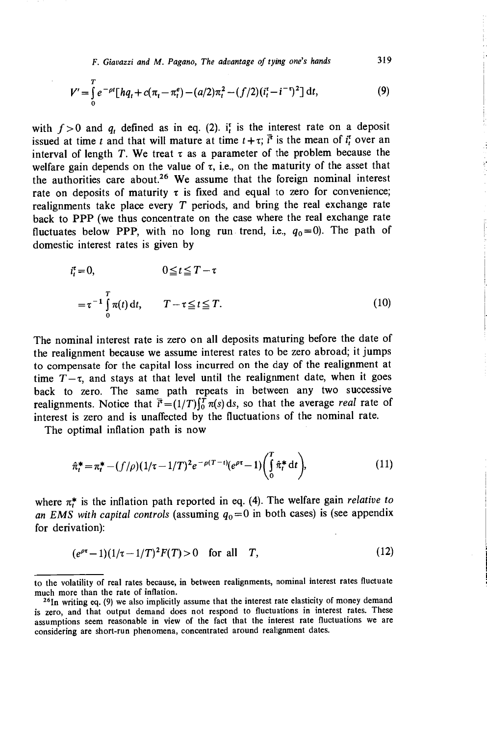F. Giavazzi and M. Pagano, The advantage of tying one's hands  
\n
$$
V' = \int_{0}^{T} e^{-\rho t} \left[ hq_t + c(\pi_t - \pi_t^e) - (a/2)\pi_t^2 - (f/2)(i_t^r - i^{-r})^2 \right] dt,
$$
\n(9)

 $V' = \int_0^{\pi} e^{-\pi t} \ln q_t + c(\pi_t - \pi_t^*) - (a/2)\pi_t^* - (f/2)(\pi_t^* - 1)^{-1}$  cf.<br>
with  $f > 0$  and  $q_t$  defined as in eq. (2). if is the interest rate on a deposite<br>
stated at time t and that will mature at time  $t + \pi_t^*$  is the mean of with  $f > 0$  and  $q_t$  defined as in eq. (2). if is the interest rate on a deposit issued at time t and that will mature at time  $t + \tau$ ;  $\vec{t}$  is the mean of  $\vec{t}$ , over an with  $f > 0$  and  $q_t$  defined as in eq. (2). i<sub>t</sub> is the interest rate on a deposit<br>issued at time t and that will mature at time  $t + \tau$ ;  $\bar{t}$  is the mean of  $i_t^r$  over an<br>interval of length T. We treat  $\tau$  as a param welfare gain depends on the value of  $\tau$ , i.e., on the maturity of the asset that<br>the authorities care about.<sup>26</sup> We assume that the foreign nominal interest<br>rate on deposits of maturity  $\tau$  is fixed and equal to zero f the authorities care about.<sup>26</sup> We assume that the foreign nominal interest realignments take place every  $T$  periods, and bring the real exchange rate back to PPP (we thus concentrate on the case where the real exchange rate rate on deposits of maturity  $\tau$  is fixed and equal to zero for convenience; realignments take place every  $T$  periods, and bring the real exchange rate back to PPP (we thus concentrate on the case where the real exchang fluctuates below PPP, with no long run trend, i.e.,  $q_0 = 0$ ). The path of<br>domestic interest rates is given by<br> $i_t^r = 0$ ,  $0 \le t \le T - \tau$ domestic interest rates is given by

$$
i_t^{\tau} = 0, \qquad 0 \le t \le T - \tau
$$
  
=  $\tau^{-1} \int_0^T \pi(t) dt$ ,  $T - \tau \le t \le T$ . (10)  
minimal interest rate is zero on all deposits maturing before the date of

The nominal interest rate is zero on all deposits maturing before the date of<br>the realignment because we assume interest rates to be zero abroad; it jumps<br>to compensate for the capital loss incurred on the day of the real to compensate for the capital loss incurred on the day of the realignment at time  $T-\tau$ , and stays at that level until the realignment date, when it goes back to zero. The same path repeats in between any two successive back to zero. The same path repeats in between any two successive<br>realignments. Notice that  $\vec{r} = (1/T)\int_0^T \pi(s) ds$ , so that the average *real* rate of<br>interest is zero and is unaffected by the fluctuations of the nominal

$$
\hat{\pi}_t^* = \pi_t^* - (f/\rho)(1/\tau - 1/T)^2 e^{-\rho(T-t)} (e^{\rho \tau} - 1) \left( \int_0^T \hat{\pi}_t^* dt \right), \tag{11}
$$

where  $\pi_t^*$  is the inflation path reported in eq. (4). The welfare gain *relative to* an EMS with capital controls (assuming  $q_0 = 0$  in both cases) is (see appendix<br>for derivation):<br> $(e^{\rho \tau} - 1)(1/\tau - 1/T)^2 F(T) > 0$  for all T, (12)

for derivation):  
\n
$$
(e^{\rho \tau} - 1)(1/\tau - 1/T)^2 F(T) > 0 \quad \text{for all} \quad T,
$$
\n(12)

to the volatility of real rates because, in between realignments, nominal interest rates fluctuate

much more than the rate of inflation.<br><sup>26</sup>In writing eq. (9) we also implicitly assume that the interest rate elasticity of money demand<br>is zero, and that output demand does not respond to fluctuations in interest rates. T is zero, and that output demand does not respond to fluctuations in interest rates. These<br>assumptions seem reasonable in view of the fact that the interest rate fluctuations we are<br>considering are short-run phenomena, conc assumptions seem reasonable in view of the fact that the interest rate fluctuations we are considering are short-run phenomena, concentrated around realignment dates. <sup>26</sup>In writing eq. (9) we also implicitly assume that the interest rate elasticity of money demand<br>is zero, and that output demand does not respond to fluctuations in interest rates. These<br>assumptions seem reasonable in v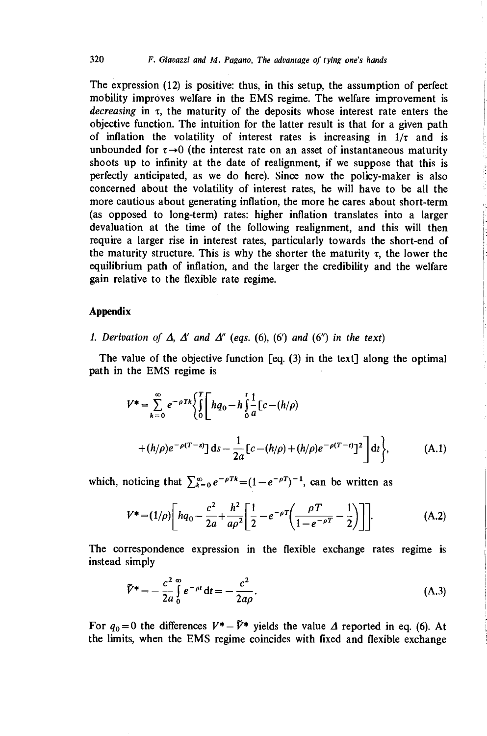F. Giavazzi and M. Pagano, The advantage of tying one's hands<br>The expression (12) is positive: thus, in this setup, the assumption of perfect<br>mobility improves welfare in the EMS regime. The welfare improvement is decreasing in  $\tau$ , the maturity of the deposits whose interest rate enters the objective function. The intuition for the latter result is that for a given path of inflation the volatility of interest rates is increasing in  $1/\tau$  and is objective function. The intuition for the latter result is that for a given path of inflation the volatility of interest rates is increasing in  $1/\tau$  and is unbounded for  $\tau \rightarrow 0$  (the interest rate on an asset of instant of inflation the volatility of interest rates is increasing in  $1/\tau$  and is unbounded for  $\tau \rightarrow 0$  (the interest rate on an asset of instantaneous maturity shoots up to infinity at the date of realignment, if we suppose t shoots up to infinity at the date of realignment, if we suppose that this is perfectly anticipated, as we do here). Since now the policy-maker is also concerned about the volatility of interest rates, he will have to be al concerned about the volatility of interest rates, he will have to be all the more cautious about generating inflation, the more he cares about short-term (as opposed to long-term) rates: higher inflation translates into a larger devaluation at the time of the following realignment, and this will th more cautious about generating inflation, the more he cares about short-term<br>(as opposed to long-term) rates: higher inflation translates into a larger<br>devaluation at the time of the following realignment, and this will th (as opposed to long-term) rates: higher inflation translates into a larger<br>devaluation at the time of the following realignment, and this will then<br>require a larger rise in interest rates, particularly towards the short-e equilibrium path of inflation, and the larger the credibility and the welfare<br>gain relative to the flexible rate regime.<br>Appendix gain relative to the flexible rate regime.<br>Appendix

1. Derivation of  $\Delta$ ,  $\Delta'$  and  $\Delta''$  (eqs. (6), (6') and (6") in the text)

 The value of the objective function [eq. (3) in the text] along the optimalpath in the EMS regime is

$$
V^* = \sum_{k=0}^{\infty} e^{-\rho T k} \left\{ \int_{0}^{T} \left[ hq_0 - h \int_{0}^{t} \frac{1}{a} \left[ c - (h/\rho) \right] \right. \right.\left. + (h/\rho)e^{-\rho(T-s)} \right] ds - \frac{1}{2a} \left[ c - (h/\rho) + (h/\rho)e^{-\rho(T-t)} \right]^2 \right] dt \Big\},\tag{A.1}
$$

$$
+(h/\rho)e^{-\rho(T-s)}\Big]ds - \frac{1}{2a}\Big[c - (h/\rho) + (h/\rho)e^{-\rho(T-t)}\Big]^2\Big]dt\Big\},\tag{A.1}
$$
\nwhich, noticing that  $\sum_{k=0}^{\infty}e^{-\rho Tk} = (1 - e^{-\rho T})^{-1}$ , can be written as

\n
$$
V^* = (1/\rho)\Big[ hq_0 - \frac{c^2}{2a} + \frac{h^2}{a\rho^2} \Big[\frac{1}{2} - e^{-\rho T}\Big(\frac{\rho T}{1 - e^{-\rho T}} - \frac{1}{2}\Big)\Big]\Big].\tag{A.2}
$$
\nThe correspondence expression in the flexible exchange rates regime is  
instead simply

\n
$$
\tilde{V}^* = -\frac{c^2}{2a}\int_0^{\infty}e^{-\rho t}dt = -\frac{c^2}{2a\rho}.
$$
\n(A.3)

The correspondence expression in the flexible exchange rates regime is  
instead simply  

$$
\tilde{V}^* = -\frac{c^2}{2a} \int_0^\infty e^{-\rho t} dt = -\frac{c^2}{2a\rho}.
$$
(A.3)

 $V^* = -\frac{1}{2a} \int_{0}^{a} e^{-\rho t} dt = -\frac{1}{2a\rho}$ . (A.3)<br>For  $q_0 = 0$  the differences  $V^* - \tilde{V}^*$  yields the value  $\Delta$  reported in eq. (6). At<br>the limits, when the EMS regime coincides with fixed and flexible exchange the limits, when the EMS regime coincides with fixed and flexible exchange

320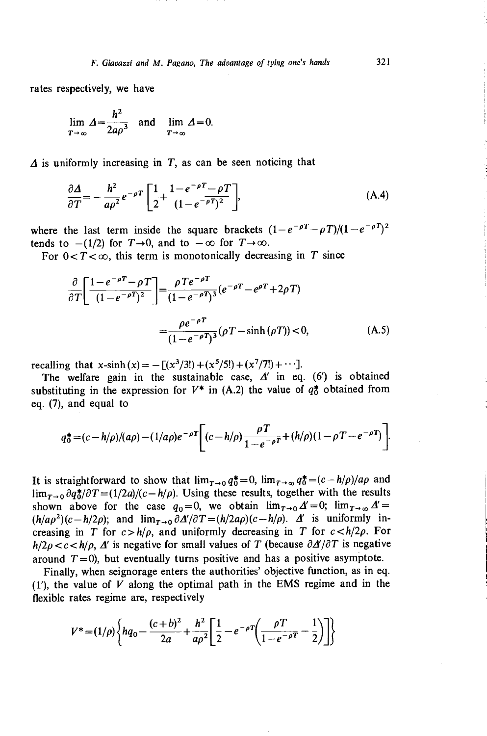$$
\lim_{T \to \infty} \Delta = \frac{h^2}{2a\rho^3} \quad \text{and} \quad \lim_{T \to \infty} \Delta = 0.
$$
  

$$
\Delta \text{ is uniformly increasing in } T, \text{ as can}
$$
  

$$
\frac{\partial \Delta}{\partial t} = \frac{h^2}{1 - e^T} \left[1 + \frac{1 - e^{-\rho T} - 1}{1 - e^{-\rho T} - 1}\right]
$$

s uniformly increasing in *T*, as can be seen noticing that  
\n
$$
\frac{\partial \Delta}{\partial T} = -\frac{h^2}{a\rho^2} e^{-\rho T} \left[ \frac{1}{2} + \frac{1 - e^{-\rho T} - \rho T}{(1 - e^{-\rho T})^2} \right],
$$
\n(A.4)  
\nhere the last term inside the square brackets  $(1 - e^{-\rho T} - \rho T)/(1 - e^{-\rho T})^2$   
\nds to  $-(1/2)$  for  $T \rightarrow 0$ , and to  $-\infty$  for  $T \rightarrow \infty$ .

where the last term inside the square brackets<br>tends to  $-(1/2)$  for  $T \rightarrow 0$ , and to  $-\infty$  for  $T \rightarrow \infty$ <br>For  $0 < T < \infty$ , this term is monotonically dec ts  $(1-e^{-\rho T}-\rho T)/(1-e^{-\rho T})^2$ <br>  $\infty$ .<br>
creasing in T since tends to  $-(1/2)$  for  $T\rightarrow 0$ , and to  $-\infty$  for  $T\rightarrow \infty$ .

tends to 
$$
-(1/2)
$$
 for  $T\rightarrow 0$ , and to  $-\infty$  for  $T\rightarrow \infty$ .  
\nFor  $0 < T < \infty$ , this term is monotonically decreasing in  $T$  since\n
$$
\frac{\partial}{\partial T} \left[ \frac{1 - e^{-\rho T} - \rho T}{(1 - e^{-\rho T})^2} \right] = \frac{\rho T e^{-\rho T}}{(1 - e^{-\rho T})^3} (e^{-\rho T} - e^{\rho T} + 2\rho T)
$$
\n
$$
= \frac{\rho e^{-\rho T}}{(1 - e^{-\rho T})^3} (\rho T - \sinh(\rho T)) < 0,
$$
\n(A.5)

recalling that x-sinh  $(x) = -[(x^3/3!) + (x^5/5!) + (x^7/7!) + \cdots].$ 

Finding that  $x$ -sinh $(x) = -[(x^3/3!) + (x^5/5!) + (x^7/7!) + \cdots]$ .<br>
The welfare gain in the sustainable case, A' in eq.<br>
substituting in the expression for  $V^*$  in (A.2) the value of<br>
eq. (7), and equal to The welfare gain in the sustainable case,  $\Delta'$  in eq. (6') is obtained<br>substituting in the expression for  $V^*$  in (A.2) the value of  $q_0^*$  obtained from<br>eq. (7), and equal to<br> $q_0^* = (c - h/\rho)/(a\rho) - (1/a\rho)e^{-\rho T} \left[ (c - h/\rho) \frac$ 

eq. (7), and equal to  
\n
$$
q_0^* = (c - h/\rho)/(a\rho) - (1/a\rho)e^{-\rho T} \left[ (c - h/\rho) \frac{\rho T}{1 - e^{-\rho T}} + (h/\rho)(1 - \rho T - e^{-\rho T}) \right]
$$
\nIt is straightforward to show that  $\lim_{T \to 0} q_0^* = 0$ ,  $\lim_{T \to \infty} q_0^* = (c - h/\rho)/a\rho$  and  
\n $\lim_{T \to 0} \partial q_0^*/\partial T = (1/2a)/(c - h/\rho)$ . Using these results, together with the results

It is straightforward to show that  $\lim_{T\to 0} q_0^* = 0$ ,  $\lim_{T\to \infty} q_0^* = (c-h/\rho)/a\rho$  and  $\lim_{T\to 0} \partial q_0^*/\partial T = (1/2a)/(c-h/\rho)$ . Using these results, together with the results shown above for the case  $q_0 = 0$ , we obtain  $\lim_{T\$ in  $\lim_{T\to 0} \Delta' = 0$ ;  $\lim_{T\to \infty} \Delta' =$ <br>  $(c-h/\rho)$ .  $\Delta'$  is uniformly in<br>
easing in T for  $c < h/2\rho$ . For<br>
T (because  $\partial \Delta'/\partial T$  is negative<br>
and has a positive asymptote.<br>
Es' objective function, as in equals  $(h/a\rho^2)(c-h/2\rho)$ ; and  $\lim_{T\to 0} \frac{\partial \Delta'}{\partial T} = (h/2a\rho)(c-h/\rho)$ .  $\Delta'$  is uniformly increasing in T for  $c > h/\rho$ , and uniformly decreasing in T for  $c < h/2\rho$ . For  $h/2\rho < c < h/\rho$ ,  $\Delta'$  is negative for small values of T (because

flexible rates regime are, respectively  
\n
$$
V^* = (1/\rho) \left\{ hq_0 - \frac{(c+b)^2}{2a} + \frac{h^2}{a\rho^2} \left[ \frac{1}{2} - e^{-\rho T} \left( \frac{\rho T}{1 - e^{-\rho T}} - \frac{1}{2} \right) \right] \right\}
$$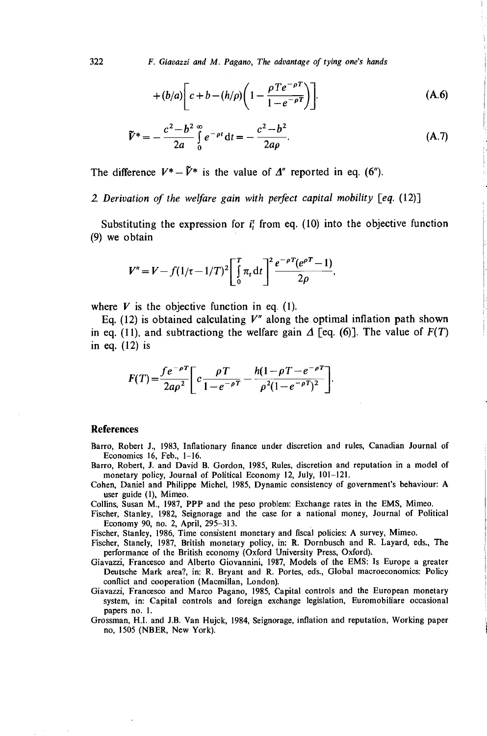$$
+(b/a)\left[c+b-(h/\rho)\left(1-\frac{\rho Te^{-\rho T}}{1-e^{-\rho T}}\right)\right]
$$
 (A.6)  

$$
-\frac{c^2-b^2}{2a}\int_{0}^{\infty}e^{-\rho t}dt=-\frac{c^2-b^2}{2a\rho}.
$$
 (A.7)  

$$
eV^*-\tilde{V}^*
$$
 is the value of  $\Delta''$  reported in eq. (6").

$$
\tilde{V}^* = -\frac{c^2 - b^2}{2a} \int_0^\infty e^{-\rho t} dt = -\frac{c^2 - b^2}{2a\rho}.
$$
\n(A.7)

\nTherefore  $V^* - \tilde{V}^*$  is the value of  $\Delta''$  reported in eq. (6").

\nation of the voltage gain with perfect capital mobility [eq. (12)].

The difference  $V^* - \tilde{V}^*$  is the value of  $\Delta''$  reported in eq. (6").<br>2. Derivation of the welfare gain with perfect capital mobility [eq. (12)]

Substituting the expression for  $i_i^r$  from eq. (10) into the objective function<br>we obtain

(9) we obtain  
\n
$$
V'' = V - f(1/\tau - 1/T)^2 \left[ \int_0^T \pi_t dt \right]^2 \frac{e^{-\rho T} (e^{\rho T} - 1)}{2\rho},
$$

where V is the objective function in eq. (1).<br>
Eq. (12) is obtained calculating V'' along the optimal inflation path shown where V is the objective function in eq. (1).<br>
Eq. (12) is obtained calculating V" along the optimal inflation path shown<br>
in eq. (11), and subtractiong the welfare gain  $\Delta$  [eq. (6)]. The value of  $F(T)$ <br>
in eq. (12) is in eq. (11), and subtractiong the welfare gain  $\Delta$  [eq. (6)]. The value of  $F(T)$ <br>in eq. (12) is<br> $F(T) = \frac{fe^{-\rho T}}{T} \left[ \frac{\rho T}{c} - \frac{h(1 - \rho T - e^{-\rho T})}{r} \right]$ 

$$
F(T) = \frac{fe^{-\rho T}}{2a\rho^2} \left[ c \frac{\rho T}{1 - e^{-\rho T}} - \frac{h(1 - \rho T - e^{-\rho T})}{\rho^2 (1 - e^{-\rho T})^2} \right].
$$
  
ces  
best J., 1983, Inflationary finance under discretion ar

**References**<br> **References**<br> **References**<br> **References**<br> **References**<br> **References**<br> **References**<br> **References**<br> **References**<br> **References**<br> **References**<br> **References**<br> **References**<br> **References**<br> **References**<br> **References** 

monetary policy, Journal of Political Economy 12, July, 101-121.<br>Cohen, Daniel and Philippe Michel, 1985, Dynamic consistency of government's behaviour: A user guide (1), Mimeo.

user guide (1), Mimeo.<br>Collins, Susan M., 1987, PPP and the peso problem: Exchange rates in the EMS, Mimeo.<br>Fischer, Stanley, 1982, Seignorage and the case for a national money, Journal of Political<br>Economy 90, no. 2, Apri Fischer, Stanely, 1987, British monetary policy, in: R. Dornbusch and R. Layard, eds., The

- Giavazzi, Francesco and Alberto Giovannini, 1987, Models of the EMS: Is Europe a greater<br>Deutsche Mark area?, in: R. Bryant and R. Portes, eds., Global macroeconomics: Policy<br>conflict and cooperation (Macmillan. London). Deutsche Mark area?, in: R. Bryant and R. Portes, eds., Global macroeconomics: Policy<br>conflict and cooperation (Macmillan, London).<br>vazzi, Francesco and Marco Pagano, 1985, Capital controls and the European monetary.
- conflict and cooperation (Macmillan, London).<br>Giavazzi, Francesco and Marco Pagano, 1985, Capital controls and the European monetary<br>system, in: Capital controls and foreign exchange legislation, Euromobiliare occasiona<br>pa system, in: Capital controls and foreign exchange legislation, Euromobiliare occasional papers no. 1.<br>Grossman, H.I. and J.B. Van Hujck, 1984, Seignorage, inflation and reputation, Working paper no. 1505 (NBER, New York).
- no, 1505 (NBER, New York).

322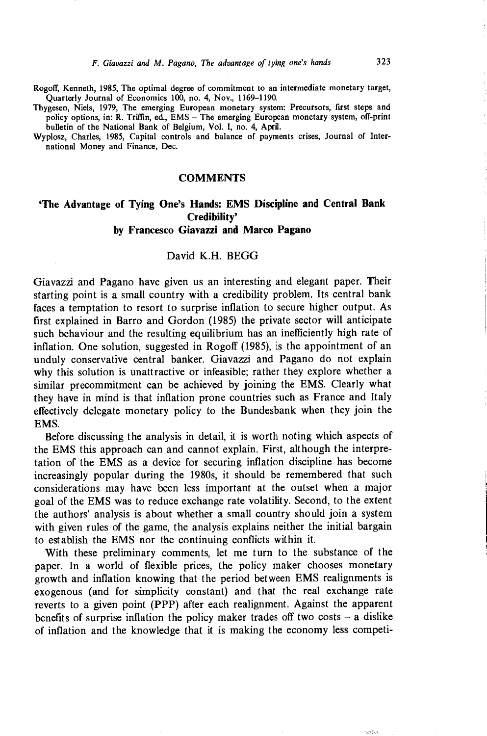F. Giavazzi and M. Pagano, The advantage of tying one's hands 323<br>Rogoff, Kenneth, 1985, The optimal degree of commitment to an intermediate monetary target, Rogoff, Kenneth, 1985, The optimal degree of commitment to an intermediate monetary target<br>Quarterly Journal of Economics 100, no. 4, Nov., 1169–1190.<br>Thygesen, Niels, 1979. The emerging European monetary system: Precursor

policy options, in: R. Triffin, ed., EMS – The emerging European monetary system, off-print bulletin of the National Bank of Belgium, Vol. I, no. 4, April.

Wyplosz, Charles, 1985, Capital controls and balance of payments crises, Journal of International Money and Finance, Dec. national Money and Finance, Dec.

## **COMMENTS**

## 'The Advantage of Tying One's Hands: EMS Discipline and Central Bank

## by Francesco Giavazzi and Marco Pagano<br>David K.H. BEGG

Giavazzi and Pagano have given us an interesting and elegant paper. Their starting point is a small country with a credibility problem. Its central bank faces a temptation to resort to surprise inflation to secure higher output. As first explained in Barro and Gordon (1985) the private sector wi faces a temptation to resort to surprise inflation to secure higher output. As first explained in Barro and Gordon (1985) the private sector will anticipate such behaviour and the resulting equilibrium has an inefficiently such behaviour and the resulting equilibrium has an inefficiently high rate of inflation. One solution, suggested in Rogoff (1985), is the appointment of an unduly conservative central banker. Giavazzi and Pagano do not ex unduly conservative central banker. Giavazzi and Pagano do not explain<br>why this solution is unattractive or infeasible; rather they explore whether a<br>similar precommitment can be achieved by joining the EMS. Clearly what<br>t why this solution is unattractive or infeasible; rather they explore whether a<br>similar precommitment can be achieved by joining the EMS. Clearly what<br>they have in mind is that inflation prone countries such as France and I

effectively delegate monetary policy to the Bundesbank when they join the EMS.<br>Before discussing the analysis in detail, it is worth noting which aspects of the EMS this approach can and cannot explain. First, although the the EMS this approach can and cannot explain. First, although the interpretation of the EMS as a device for securing inflation discipline has become increasingly popular during the 1980s, it should be remembered that such considerations may have been less important at the outset when a major increasingly popular during the 1980s, it should be remembered that such<br>considerations may have been less important at the outset when a major<br>goal of the EMS was to reduce exchange rate volatility. Second, to the extent<br> considerations may have been less important at the outset when a major goal of the EMS was to reduce exchange rate volatility. Second, to the extent the authors' analysis is about whether a small country should join a syst

with given rules of the game, the analysis explains neither the initial bargain<br>to establish the EMS nor the continuing conflicts within it.<br>With these preliminary comments, let me turn to the substance of the<br>paper. In a growth and inflation knowing that the period between EMS realignments is<br>exogenous (and for simplicity constant) and that the real exchange rate<br>reverts to a given point (PPP) after each realignment. Against the apparent<br>b reverts to a given point (PPP) after each realignment. Against the apparent benefits of surprise inflation the policy maker trades off two costs - a dislike of inflation and the knowledge that it is making the economy less of inflation and the knowledge that it is making the economy less competi-

este.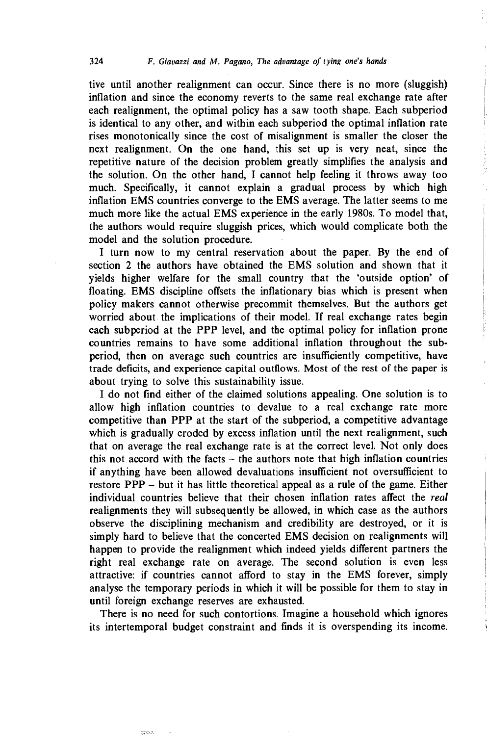F. Giavazzi and M. Pagano, The advantage of tying one's hands<br>tive until another realignment can occur. Since there is no more (sluggish)<br>inflation and since the economy reverts to the same real exchange rate after each realignment, the optimal policy has a saw tooth shape. Each subperiod is identical to any other, and within each subperiod the optimal inflation rate rises monotonically since the cost of misalignment is smaller the closer the is identical to any other, and within each subperiod the optimal inflation rate rises monotonically since the cost of misalignment is smaller the closer the next realignment. On the one hand, this set up is very neat, sinc next realignment. On the one hand, this set up is very neat, since the repetitive nature of the decision problem greatly simplifies the analysis and the solution. On the other hand, I cannot help feeling it throws away too repetitive nature of the decision problem greatly simplifies the analysis and<br>the solution. On the other hand, I cannot help feeling it throws away too<br>much. Specifically, it cannot explain a gradual process by which high<br> the solution. On the other hand, I cannot help feeling it throws away too much. Specifically, it cannot explain a gradual process by which high inflation EMS countries converge to the EMS average. The latter seems to me mu much. Specifically, it cannot explain a gradual process by which high<br>inflation EMS countries converge to the EMS average. The latter seems to me<br>much more like the actual EMS experience in the early 1980s. To model that<br>t inflation EMS countries converge to the EMS average. The latter seems to me<br>much more like the actual EMS experience in the early 1980s. To model that,<br>the authors would require sluggish prices, which would complicate both

model and the solution procedure.<br>I turn now to my central reservation about the paper. By the end of section 2 the authors have obtained the EMS solution and shown that it yields higher welfare for the small country that the 'outside option' of floating. EMS discipline offsets the inflationary bias which is present when policy makers cannot otherwise precommit themselves. But the authors get worried about the implications of their model. If real exchange rates begin each subperiod at the PPP level, and the optimal policy for inflation pro worried about the implications of their model. If real exchange rates begin each subperiod at the PPP level, and the optimal policy for inflation prone countries remains to have some additional inflation throughout the sub each subperiod at the PPP level, and the optimal policy for inflation prone countries remains to have some additional inflation throughout the sub-<br>period, then on average such countries are insufficiently competitive, hav

trade deficits, and experience capital outflows. Most of the rest of the paper is about trying to solve this sustainability issue.<br>I do not find either of the claimed solutions appealing. One solution is to allow high infl allow high inflation countries to devalue to a real exchange rate more<br>competitive than PPP at the start of the subperiod, a competitive advantage<br>which is gradually eroded by excess inflation until the next realignment, s competitive than PPP at the start of the subperiod, a competitive advantage<br>which is gradually eroded by excess inflation until the next realignment, such<br>that on average the real exchange rate is at the correct level. Not which is gradually eroded by excess inflation until the next realignment, such<br>that on average the real exchange rate is at the correct level. Not only does<br>this not accord with the facts – the authors note that high infla that on average the real exchange rate is at the correct level. Not only does<br>this not accord with the facts – the authors note that high inflation countries<br>if anything have been allowed devaluations insufficient not over this not accord with the facts – the authors note that high inflation countries<br>if anything have been allowed devaluations insufficient not oversufficient to<br>restore  $PPP - but$  it has little theoretical appeal as a rule of the if anything have been allowed devaluations insufficient not oversufficient to<br>restore PPP – but it has little theoretical appeal as a rule of the game. Either<br>individual countries believe that their chosen inflation rates restore PPP – but it has little theoretical appeal as a rule of the game. Either<br>individual countries believe that their chosen inflation rates affect the *real*<br>realignments they will subsequently be allowed, in which cas observe the disciplining mechanism and credibility are destroyed, or it is simply hard to believe that the concerted EMS decision on realignments will happen to provide the realignment which indeed yields different partner happen to provide the realignment which indeed yields different partners the right real exchange rate on average. The second solution is even less right real exchange rate on average. The second solution is even less<br>attractive: if countries cannot afford to stay in the EMS forever, simply<br>analyse the temporary periods in which it will be possible for them to stay in attractive: if countries cannot afford to stay in the EMS forever, simply analyse the temporary periods in which it will be possible for them to stay in until foreign exchange reserves are exhausted.<br>There is no need for s

analyse the temporary periods in which it will be possible for them to stay in until foreign exchange reserves are exhausted.<br>There is no need for such contortions. Imagine a household which ignores its intertemporal budge until foreign exchange reserves are exhausted.<br>There is no need for such contortions. Imagine a household which ignores<br>its intertemporal budget constraint and finds it is overspending its income its intertemporal budget constraint and finds it is overspending its income.<br>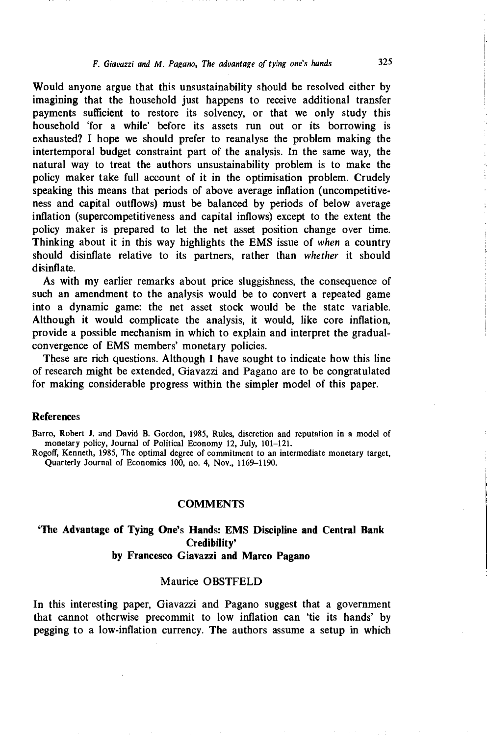F. Giavazzi and M. Pagano, The advantage of tying one's hands 325<br>Would anyone argue that this unsustainability should be resolved either by<br>imagining that the household just happens to receive additional transfer payments sufficient to restore its solvency, or that we only study this household 'for a while' before its assets run out or its borrowing is exhausted? I hope we should prefer to reanalyse the problem making the intertemp payments sufficient to restore its solvency, or that we only study this household 'for a while' before its assets run out or its borrowing is exhausted? I hope we should prefer to reanalyse the problem making the intertemp is assets run out or its<br>er to reanalyse the problem<br>rt of the analysis. In the<br>unsustainability problem<br>it in the optimisation pr household 'for a while' before its assets run out or its borrowing is exhausted? I hope we should prefer to reanalyse the problem making the intertemporal budget constraint part of the analysis. In the same way, the natura intertemporal budget constraint part of the analysis. In the same way, the natural way to treat the authors unsustainability problem is to make the policy maker take full account of it in the optimisation problem. Crudely natural way to treat the authors unsustainability problem is to make the policy maker take full account of it in the optimisation problem. Crudely speaking this means that periods of above average inflation (uncompetitive speaking this means that periods of above average inflation (uncompetitive-<br>ness and capital outflows) must be balanced by periods of below average<br>inflation (supercompetitiveness and capital inflows) except to the extent ness and capital outflows) must be balanced by periods of below average policy maker is prepared to let the net asset position change over time.<br>Thinking about it in this way highlights the EMS issue of when a country should disinflate relative to its partners, rather than whether it should Thinking about it in this way highlights the EMS issue of when a country should disinflate relative to its partners, rather than whether it should disinflate.

should disinflate relative to its partners, rather than whether it should disinflate.<br>As with my earlier remarks about price sluggishness, the consequence of such an amendment to the analysis would be to convert a repeated into a dynamic game: the net asset stock would be the state variable.<br>Although it would complicate the analysis, it would, like core inflation, into a dynamic game: the net asset stock would be the state variable.<br>Although it would complicate the analysis, it would, like core inflation, provide a possible mechanism in which to explain and interpret the gradual-<br>co

convergence of EMS members' monetary policies.<br>These are rich questions. Although I have sought to indicate how this line<br>of research might be extended, Giavazzi and Pagano are to be congratulated of research might be extended, Giavazzi and Pagano are to be congratulated<br>for making considerable progress within the simpler model of this paper.<br>D.C. for making considerable progress within the simpler model of this paper.<br>References<br>Batra Babett Land David B. Gardan, 1985, Pulse discretion and reputation in a model

Barro, Robert J. and David B. Gordon, 1985, Rules, discretion and reputation in a model of monetary policy, Journal of Political Economy 12, July, 101–121.<br>Rogoff, Kenneth, 1985, The optimal degree of commitment to an inte

Quarterly Journal of Economics 100, no. 4, Nov., 1169-1190.

## **COMMENTS**

## 'The Advantage of Tying One's Hands: EMS Discipline and Central Bankby Francesco Giavazzi and Marco Pagano<br>Maurice OBSTFELD

In this interesting paper, Giavazzi and Pagano suggest that a government that cannot otherwise precommit to low inflation can 'tie its hands' by In this interesting paper, Giavazzi and Pagano suggest that a government that cannot otherwise precommit to low inflation can 'tie its hands' by pegging to a low-inflation currency. The authors assume a setup in which pegging to a low-inflation currency. The authors assume a setup in which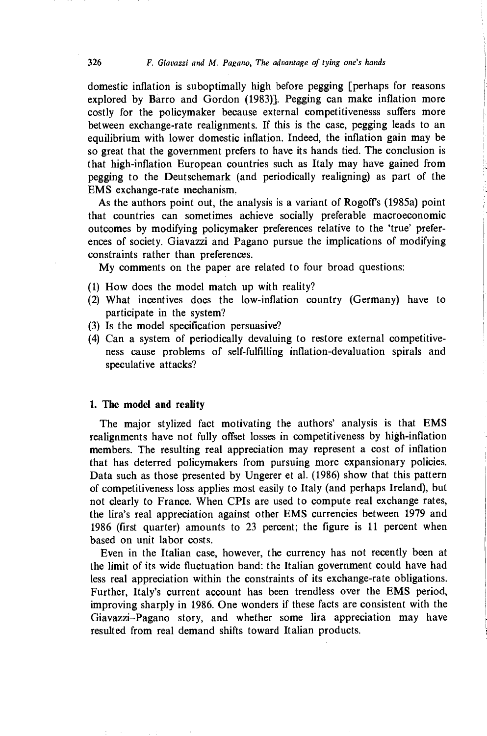F. Giavazzi and M. Pagano, The advantage of tying one's hands<br>domestic inflation is suboptimally high before pegging [perhaps for reasons<br>explored by Barro and Gordon (1983)]. Pegging can make inflation more costly for the policymaker because external competitivenesss suffers more<br>between exchange-rate realignments. If this is the case, pegging leads to an<br>equilibrium with lower domestic inflation. Indeed, the inflation gain m costly for the policymaker because external competitivenesss suffers more<br>between exchange-rate realignments. If this is the case, pegging leads to an<br>equilibrium with lower domestic inflation. Indeed, the inflation gain m between exchange-rate realignments. If this is the case, pegging leads to an equilibrium with lower domestic inflation. Indeed, the inflation gain may be so great that the government prefers to have its hands tied. The con equilibrium with lower domestic inflation. Indeed, the inflation gain may be so great that the government prefers to have its hands tied. The conclusion is that high-inflation European countries such as Italy may have gain so great that the government prefers to have its hands tied. The conclusion is that high-inflation European countries such as Italy may have gained from pegging to the Deutschemark (and periodically realigning) as part of

EMS exchange-rate mechanism.<br>As the authors point out, the analysis is a variant of Rogoff's (1985a) point<br>that countries can sometimes achieve socially preferable macroeconomic<br>outcomes by modifying policymaker preference ences of society. Giavazzi and Pagano pursue the implications of modifying constraints rather than preferences.<br>My comments on the paper are related to four broad questions: constraints rather than preferences.<br>My comments on the paper are related to four broad questions:<br>(1) How does the model match up with reality?<br>(2) What incentives does the low-inflation country (Germany) have

- 
- What incentives does the low-inflation country (Germany) have to participate in the system?<br>Is the model specification persuasive?<br>Can a system of periodically devaluing to restore external competitive
- 
- participate in the system?<br>Is the model specification persuasive?<br>Can a system of periodically devaluing to restore external competitive<br>ness cause problems of self-fulfilling inflation-devaluation spirals an<br>speculative a Can a system of periodically devaluing to restore external competitive-<br>ness cause problems of self-fulfilling inflation-devaluation spirals and<br>speculative attacks? speculative attacks?<br>The model and reality

## 1. The model and reality

The major stylized fact motivating the authors' analysis is that EMS<br>alignments have not fully offset losses in competitiveness by high-inflatior<br>embers. The resulting real appreciation may represent a cost of inflation<br>at realignments have not fully offset losses in competitiveness by high-inflation<br>members. The resulting real appreciation may represent a cost of inflation<br>that has deterred policymakers from pursuing more expansionary polic members. The resulting real appreciation may represent a cost of inflation<br>that has deterred policymakers from pursuing more expansionary policies<br>Data such as those presented by Ungerer et al. (1986) show that this patter that has deterred policymakers from pursuing more expansionary policies.<br>Data such as those presented by Ungerer et al. (1986) show that this pattern<br>of competitiveness loss applies most easily to Italy (and perhaps Irelan of competitiveness loss applies most easily to Italy (and perhaps Ireland), but<br>not clearly to France. When CPIs are used to compute real exchange rates,<br>the lira's real appreciation against other EMS currencies between 19

1986 (first quarter) amounts to 23 percent; the figure is 11 percent when<br>based on unit labor costs.<br>Even in the Italian case, however, the currency has not recently been at<br>he limit of its wide fluctuation band: the Itali based on unit labor costs.<br>Even in the Italian case, however, the currency has not recently been at the limit of its wide fluctuation band: the Italian government could have had less real appreciation within the constraint Further, Italy's current account has been trendless over the EMS period, improving sharply in 1986. One wonders if these facts are consistent with the Giavazzi-Pagano story, and whether some lira appreciation may have resu Giavazzi-Pagano story, and whether some lira appreciation may have resulted from real demand shifts toward Italian products.

326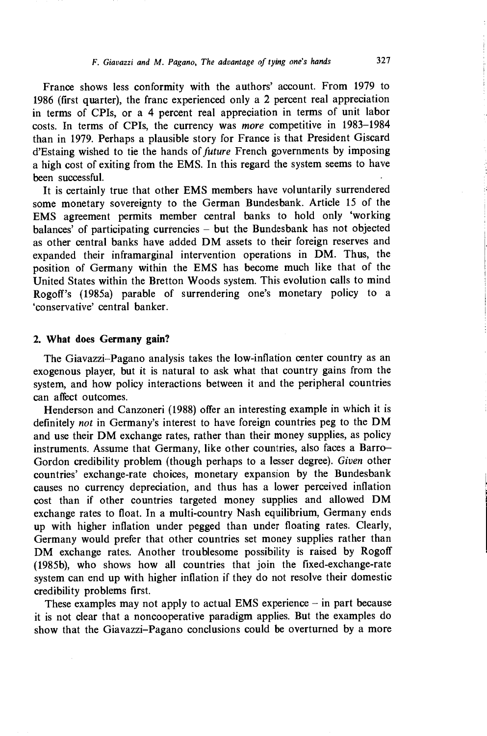F. Giavazzi and M. Pagano, The advantage of tying one's hands 327<br>France shows less conformity with the authors' account. From 1979 to 1986 (first quarter), the franc experienced only a 2 percent real appreciation in terms of CPIs, or a 4 percent real appreciation in terms of unit labor costs. In terms of CPIs, the currency was *more* competitive in 1983–1984 than in 1979. Perhaps a plausible story for France is that President Gisca in terms of CPIs, or a 4 percent real appreciation in terms of unit labor costs. In terms of CPIs, the currency was *more* competitive in 1983–1984 than in 1979. Perhaps a plausible story for France is that President Gisca than in 1979. Perhaps a plausible story for France is that President Giscard<br>d'Estaing wished to tie the hands of *future* French governments by imposing<br>a high cost of exiting from the EMS. In this regard the system seems a high cost of exiting from the EMS. In this regard the system seems to have<br>been successful.<br>It is certainly true that other EMS members have voluntarily surrendered

a high cost of exiting from the EMS. In this regard the system seems to have been successful.<br>It is certainly true that other EMS members have voluntarily surrendered<br>some monetary sovereignty to the German Bundesbank. Art some monetary sovereignty to the German Bundesbank. Article 15 of the EMS agreement permits member central banks to hold only 'working balances' of participating currencies – but the Bundesbank has not objected as other ce as other central banks have added DM assets to their foreign reserves and expanded their inframarginal intervention operations in DM. Thus, the position of Germany within the EMS has become much like that of the United States within the Bretton Woods system. This evolution calls to mind expanded their inframarginal intervention operations in DM. Thus, the position of Germany within the EMS has become much like that of the United States within the Bretton Woods system. This evolution calls to mind Rogoff's United States within the Bretton Woods system. This evolution calls to mind<br>Rogoff's (1985a) parable of surrendering one's monetary policy to a<br>'conservative' central banker. Rogoff's (1985a) parable of surrendering one's monetary policy to a<br>
"conservative" central banker.<br>
2. What does Germany gain?<br>
The Giavazzi-Pagano analysis takes the low-inflation center country as an

The Giavazzi-Pagano analysis takes the low-inflation center country as an exogenous player, but it is natural to ask what that country gains from the system, and how policy interactions between it and the peripheral countr system, and how policy interactions between it and the peripheral countries<br>can affect outcomes.<br>Henderson and Canzoneri (1988) offer an interesting example in which it is

system, and how policy interactions between it and the peripheral countries<br>can affect outcomes.<br>Henderson and Canzoneri (1988) offer an interesting example in which it is<br>definitely *not* in Germany's interest to have for and use their DM exchange rates, rather than their money supplies, as policy instruments. Assume that Germany, like other countries, also faces a Barro–Gordon credibility problem (though perhaps to a lesser degree). Given countries' exchange-rate choices, monetary expansion by the Bundesbank<br>causes no currency depreciation, and thus has a lower perceived inflation<br>cost than if other countries targeted money supplies and allowed DM<br>exchange causes no currency depreciation, and thus has a lower perceived inflation cost than if other countries targeted money supplies and allowed DM exchange rates to float. In a multi-country Nash equilibrium, Germany ends up wi cost than if other countries targeted money supplies and allowed DM<br>exchange rates to float. In a multi-country Nash equilibrium, Germany end<br>up with higher inflation under pegged than under floating rates. Clearly<br>Germany exchange rates to float. In a multi-country Nash equilibrium, Germany ends<br>up with higher inflation under pegged than under floating rates. Clearly,<br>Germany would prefer that other countries set money supplies rather than<br>

system can end up with higher inflation if they do not resolve their domestic<br>credibility problems first.<br>These examples may not apply to actual EMS experience – in part because<br>it is not clear that a noncooperative paradi credibility problems first.<br>These examples may not apply to actual EMS experience – in part because<br>it is not clear that a noncooperative paradigm applies. But the examples do<br>show that the Giavazzi-Pagano conclusions coul it is not clear that a noncooperative paradigm applies. But the examples do<br>show that the Giavazzi–Pagano conclusions could be overturned by a more<br>that the Giavazzi–Pagano conclusions could be overturned by a more show that the Giavazzi-Pagano conclusions could be overturned by a more<br>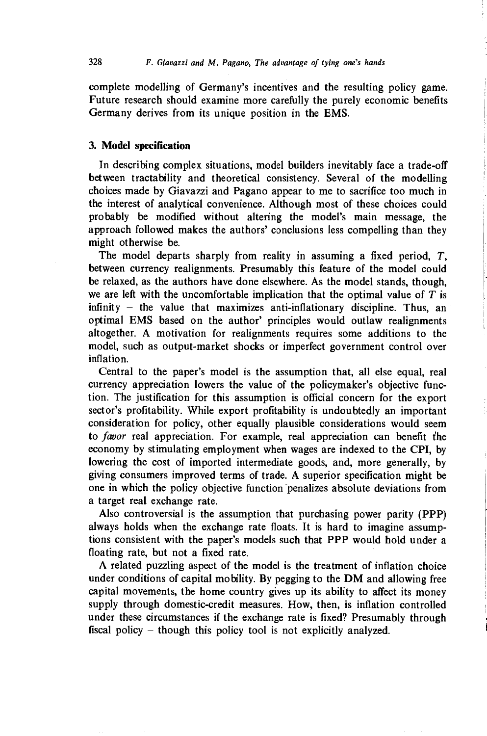F. Gjavazzi and M. Pagano, The advantage of tying one's hands complete modelling of Germany's incentives and the resulting policy game. Future research should examine more carefully the purely economic benefitsGermany derives from its unique position in the EMS.<br>3. Model specification

In describing complex situations, model builders inevitably face a trade-off between tractability and theoretical consistency. Several of the modelling choices made by Giavazzi and Pagano appear to me to sacrifice too much in the interest of analytical convenience. Although most of these choices could probably be modified without altering the model's main message, the approach followed makes the authors' conclusions less compelling than they mi probably be modified without altering the model's main message, the approach followed makes the authors' conclusions less compelling than they<br>might otherwise be.<br>The model departs sharply from reality in assuming a fixed period,  $T$ ,<br>between currency realignments. Presumably this feature

approach followed makes the authors' conclusions less compelling than they<br>might otherwise be.<br>The model departs sharply from reality in assuming a fixed period, T<br>between currency realignments. Presumably this feature of might otherwise be.<br>The model departs sharply from reality in assuming a fixed period, T<br>between currency realignments. Presumably this feature of the model could<br>be relaxed, as the authors have done elsewhere. As the mode be relaxed, as the authors have done elsewhere. As the model stands, though, we are left with the uncomfortable implication that the optimal value of  $T$  is infinity  $-$  the value that maximizes anti-inflationary discipli optimal EMS based on the author' principles would outlaw realignments model, such as output-market shocks or imperfect government control over inflation.<br>Central to the paper's model is the assumption that, all else equal, real

currency appreciation lowers the value of the policymaker's objective function. The justification for this assumption is official concern for the export sector's profitability. While export profitability is undoubtedly an important consideration for policy, other equally plausible considerations would seem to favor real appreciation. For example, real appreciation can benefit the economy by stimulating employment when wages are indexed to the CPI, by to *favor* real appreciation. For example, real appreciation can benefit the<br>economy by stimulating employment when wages are indexed to the CPI, by<br>lowering the cost of imported intermediate goods, and, more generally, by

a target real exchange rate.<br>
Also controversial is the assumption that purchasing power parity (PPP)<br>
always holds when the exchange rate floats. It is hard to imagine assump-<br>
tions consistent with the paper's models suc

under conditions of capital mobility. By pegging to the DM and allowing free capital movements, the home country gives up its ability to affect its money supply through domestic-credit measures. How, then, is inflation controlled supply through domestic-credit measures. How, then, is inflation controlled<br>under these circumstances if the exchange rate is fixed? Presumably through<br>fiscal policy – though this policy tool is not explicitly analyzed. under these circumstances if the exchange rate is fixed? Presumably through<br>fiscal policy – though this policy tool is not explicitly analyzed. fiscal policy - though this policy tool is not explicitly analyzed.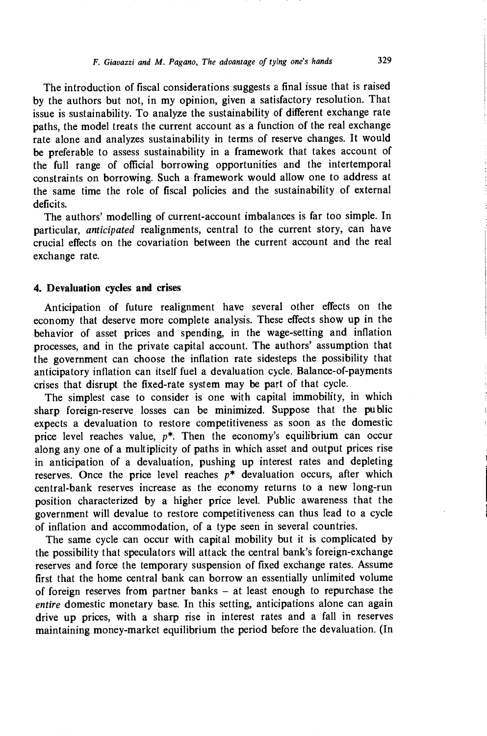F. Giavazzi and M. Pagano, The advantage of tying one's hands 329<br>The introduction of fiscal considerations suggests a final issue that is raised by the authors but not, in my opinion, given a satisfactory resolution. That issue is sustainability. To analyze the sustainability of different exchange rate by the authors but not, in my opinion, given a satisfactory resolution. That issue is sustainability. To analyze the sustainability of different exchange rate paths, the model treats the current account as a function of th paths, the model treats the current account as a function of the real exchange<br>rate alone and analyzes sustainability in terms of reserve changes. It would<br>be preferable to assess sustainability in a framework that takes a rate alone and analyzes sustainability in terms of reserve changes. It would<br>be preferable to assess sustainability in a framework that takes account of<br>the full range of official borrowing opportunities and the intertempo be preferable to assess sustainability in a framework that takes account of the full range of official borrowing opportunities and the intertemporal constraints on borrowing. Such a framework would allow one to address at constraints on borrowing. Such a framework would allow one to address at<br>the same time the role of fiscal policies and the sustainability of external<br>deficits the same time the role of fiscal policies and the sustainability of external<br>deficits. deficits.<br>The authors' modelling of current-account imbalances is far too simple. In

particular, anticipated realignments, central to the current story, can have particular, *anticipated* realignments, central to the current story, can have<br>crucial effects on the covariation between the current account and the real<br>exchange rate. crucial effects on the covariation between the current account and the real exchange rate.<br>A Develoption suchs and exists

## 4. Devaluation cycles and crises

Anticipation of future realignment have several other effects on the economy that deserve more complete analysis. These effects show up in the behavior of asset prices and spending, in the wage-setting and inflation economy that deserve more complete analysis. These effects show up in the behavior of asset prices and spending, in the wage-setting and inflation processes, and in the private capital account. The authors' assumption that processes, and in the private capital account. The authors' assumption that<br>the government can choose the inflation rate sidesteps the possibility that<br>anticipatory inflation can itself fuel a devaluation cycle. Balance-of

crises that disrupt the fixed-rate system may be part of that cycle.<br>The simplest case to consider is one with capital immobility, in which sharp foreign-reserve losses can be minimized. Suppose that the public expects a devaluation to restore competitiveness as soon as the domestic<br>price level reaches value,  $p^*$ . Then the economy's equilibrium can occur<br>along any one of a multiplicity of paths in which asset and output prices price level reaches value,  $p^*$ . Then the economy's equilibrium can occur price level reaches value,  $p^*$ . Then the economy's equilibrium can occur along any one of a multiplicity of paths in which asset and output prices rise in anticipation of a devaluation, pushing up interest rates and dep in anticipation of a devaluation, pushing up interest rates and depleting<br>reserves. Once the price level reaches  $p^*$  devaluation occurs, after which<br>central-bank reserves increase as the economy returns to a new long-ru reserves. Once the price level reaches  $p^*$  devaluation occurs, after which<br>central-bank reserves increase as the economy returns to a new long-run<br>position characterized by a higher price level. Public awareness that th central-bank reserves increase as the economy returns to a new long-run<br>position characterized by a higher price level. Public awareness that the<br>government will devalue to restore competitiveness can thus lead to a cycle<br> position characterized by a higher price level. Public awareness that the government will devalue to restore competitiveness can thus lead to a cycle of inflation and accommodation, of a type seen in several countries.<br>The

government will devalue to restore competitiveness can thus lead to a cycle<br>of inflation and accommodation, of a type seen in several countries.<br>The same cycle can occur with capital mobility but it is complicated by<br>the p of inflation and accommodation, of a type seen in several countries.<br>The same cycle can occur with capital mobility but it is complicated by<br>the possibility that speculators will attack the central bank's foreign-exchange<br> reserves and force the temporary suspension of fixed exchange rates. Assume first that the home central bank can borrow an essentially unlimited volume reserves and force the temporary suspension of fixed exchange rates. Assume<br>first that the home central bank can borrow an essentially unlimited volume<br>of foreign reserves from partner banks – at least enough to repurchase first that the home central bank can borrow an essentially unlimited volume<br>of foreign reserves from partner banks – at least enough to repurchase the<br>entire domestic monetary base. In this setting, anticipations alone can entire domestic monetary base. In this setting, anticipations alone can again drive up prices, with a sharp rise in interest rates and a fall in reserves entire domestic monetary base. In this setting, anticipations alone can again<br>drive up prices, with a sharp rise in interest rates and a fall in reserves<br>maintaining money-market equilibrium the period before the devaluati drive up prices, with a sharp rise in interest rates and a fall in reserves maintaining money-market equilibrium the period before the devaluation. (In